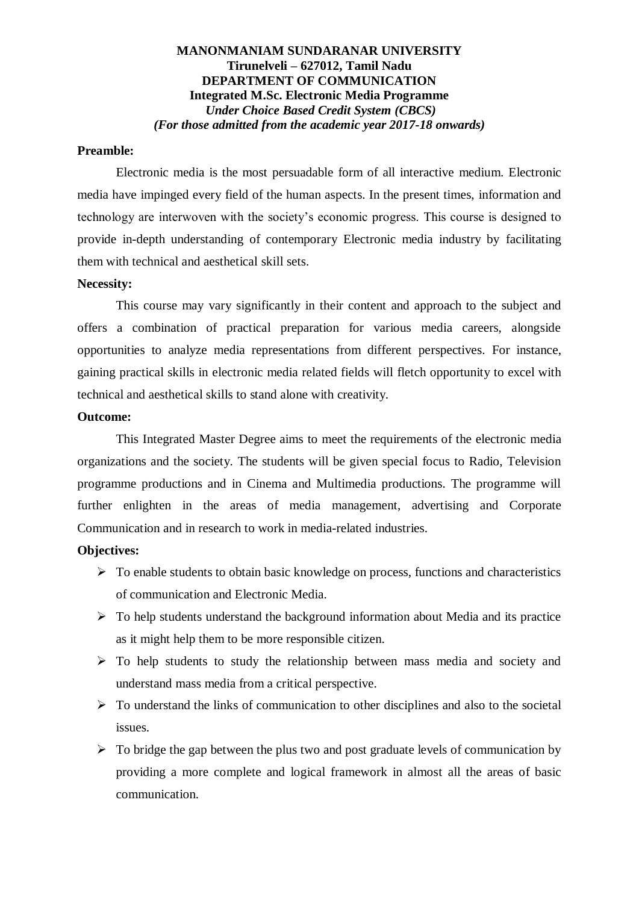#### **MANONMANIAM SUNDARANAR UNIVERSITY Tirunelveli – 627012, Tamil Nadu DEPARTMENT OF COMMUNICATION Integrated M.Sc. Electronic Media Programme**  *Under Choice Based Credit System (CBCS) (For those admitted from the academic year 2017-18 onwards)*

#### **Preamble:**

Electronic media is the most persuadable form of all interactive medium. Electronic media have impinged every field of the human aspects. In the present times, information and technology are interwoven with the society's economic progress. This course is designed to provide in-depth understanding of contemporary Electronic media industry by facilitating them with technical and aesthetical skill sets.

#### **Necessity:**

This course may vary significantly in their content and approach to the subject and offers a combination of practical preparation for various media careers, alongside opportunities to analyze media representations from different perspectives. For instance, gaining practical skills in electronic media related fields will fletch opportunity to excel with technical and aesthetical skills to stand alone with creativity.

#### **Outcome:**

This Integrated Master Degree aims to meet the requirements of the electronic media organizations and the society. The students will be given special focus to Radio, Television programme productions and in Cinema and Multimedia productions. The programme will further enlighten in the areas of media management, advertising and Corporate Communication and in research to work in media-related industries.

#### **Objectives:**

- $\triangleright$  To enable students to obtain basic knowledge on process, functions and characteristics of communication and Electronic Media.
- $\triangleright$  To help students understand the background information about Media and its practice as it might help them to be more responsible citizen.
- $\triangleright$  To help students to study the relationship between mass media and society and understand mass media from a critical perspective.
- $\triangleright$  To understand the links of communication to other disciplines and also to the societal issues.
- $\triangleright$  To bridge the gap between the plus two and post graduate levels of communication by providing a more complete and logical framework in almost all the areas of basic communication.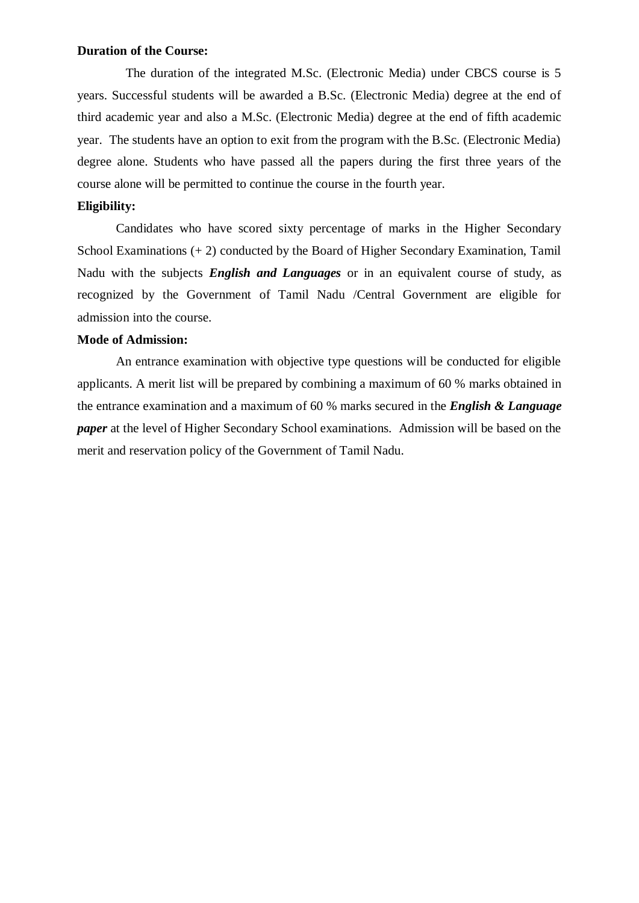#### **Duration of the Course:**

 The duration of the integrated M.Sc. (Electronic Media) under CBCS course is 5 years. Successful students will be awarded a B.Sc. (Electronic Media) degree at the end of third academic year and also a M.Sc. (Electronic Media) degree at the end of fifth academic year. The students have an option to exit from the program with the B.Sc. (Electronic Media) degree alone. Students who have passed all the papers during the first three years of the course alone will be permitted to continue the course in the fourth year.

#### **Eligibility:**

Candidates who have scored sixty percentage of marks in the Higher Secondary School Examinations (+ 2) conducted by the Board of Higher Secondary Examination, Tamil Nadu with the subjects *English and Languages* or in an equivalent course of study, as recognized by the Government of Tamil Nadu /Central Government are eligible for admission into the course.

#### **Mode of Admission:**

An entrance examination with objective type questions will be conducted for eligible applicants. A merit list will be prepared by combining a maximum of 60 % marks obtained in the entrance examination and a maximum of 60 % marks secured in the *English & Language paper* at the level of Higher Secondary School examinations. Admission will be based on the merit and reservation policy of the Government of Tamil Nadu.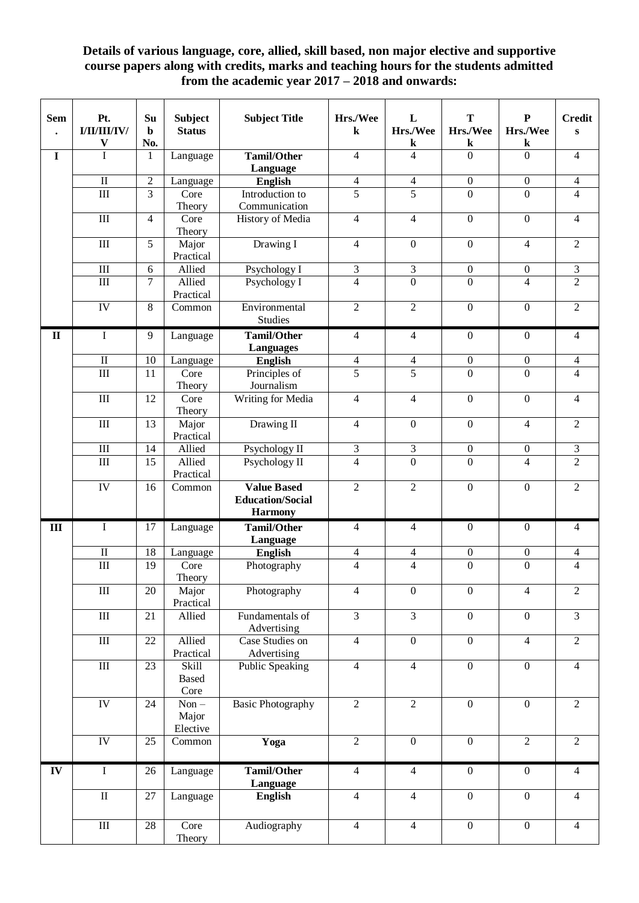# **Details of various language, core, allied, skill based, non major elective and supportive course papers along with credits, marks and teaching hours for the students admitted from the academic year 2017 – 2018 and onwards:**

| <b>Sem</b>               | Pt.<br>I/II/III/IV/            | Su<br>$\mathbf b$<br>No. | <b>Subject</b><br><b>Status</b> | <b>Subject Title</b>                          | Hrs./Wee<br>$\bf k$         | L<br>Hrs./Wee               | T<br>Hrs./Wee               | ${\bf P}$<br>Hrs./Wee | <b>Credit</b><br>S          |
|--------------------------|--------------------------------|--------------------------|---------------------------------|-----------------------------------------------|-----------------------------|-----------------------------|-----------------------------|-----------------------|-----------------------------|
| $\mathbf I$              | $\mathbf{V}$<br>$\overline{I}$ | 1                        | Language                        | <b>Tamil/Other</b>                            | $\overline{4}$              | ${\bf k}$<br>$\overline{4}$ | ${\bf k}$<br>$\overline{0}$ | k<br>$\overline{0}$   | $\overline{4}$              |
|                          |                                |                          |                                 | Language                                      |                             |                             |                             |                       |                             |
|                          | $\rm II$                       | $\sqrt{2}$               | Language                        | <b>English</b>                                | $\overline{4}$              | $\overline{4}$              | $\boldsymbol{0}$            | $\boldsymbol{0}$      | $\overline{4}$              |
|                          | $\mathop{\rm III}\nolimits$    | $\overline{3}$           | Core                            | Introduction to                               | $\overline{5}$              | $\overline{5}$              | $\overline{0}$              | $\overline{0}$        | $\overline{4}$              |
|                          |                                |                          | Theory                          | Communication                                 |                             |                             |                             |                       |                             |
|                          | $\rm III$                      | $\overline{4}$           | Core<br>Theory                  | History of Media                              | $\overline{4}$              | $\overline{4}$              | $\boldsymbol{0}$            | $\overline{0}$        | $\overline{4}$              |
|                          | III                            | $\overline{5}$           | Major<br>Practical              | Drawing I                                     | $\overline{4}$              | $\mathbf{0}$                | $\boldsymbol{0}$            | $\overline{4}$        | $\overline{2}$              |
|                          | III                            | $6\,$                    | Allied                          | Psychology I                                  | $\mathfrak{Z}$              | 3                           | $\boldsymbol{0}$            | $\boldsymbol{0}$      | $\ensuremath{\mathfrak{Z}}$ |
|                          | III                            | $\overline{7}$           | Allied<br>Practical             | Psychology I                                  | $\overline{4}$              | $\mathbf{0}$                | $\mathbf{0}$                | $\overline{4}$        | $\overline{2}$              |
|                          | IV                             | 8                        | Common                          | Environmental<br><b>Studies</b>               | $\overline{2}$              | $\overline{2}$              | $\boldsymbol{0}$            | $\overline{0}$        | $\sqrt{2}$                  |
| $\mathbf{I}$             | $\mathbf I$                    | 9                        | Language                        | <b>Tamil/Other</b>                            | $\overline{4}$              | $\overline{4}$              | $\boldsymbol{0}$            | $\mathbf{0}$          | $\overline{4}$              |
|                          |                                |                          |                                 | <b>Languages</b>                              |                             |                             |                             |                       |                             |
|                          | $\rm II$                       | 10                       | Language                        | <b>English</b>                                | $\overline{4}$              | $\overline{4}$              | $\boldsymbol{0}$            | $\boldsymbol{0}$      | $\overline{4}$              |
|                          | $\mathop{\rm III}\nolimits$    | 11                       | Core<br>Theory                  | Principles of<br>Journalism                   | $\overline{5}$              | $\overline{5}$              | $\overline{0}$              | $\overline{0}$        | $\overline{4}$              |
|                          | III                            | $\overline{12}$          | Core<br>Theory                  | Writing for Media                             | $\overline{4}$              | $\overline{4}$              | $\overline{0}$              | $\overline{0}$        | $\overline{4}$              |
|                          | III                            | 13                       | Major<br>Practical              | Drawing II                                    | $\overline{4}$              | $\boldsymbol{0}$            | $\boldsymbol{0}$            | $\overline{4}$        | $\overline{2}$              |
|                          | III                            | 14                       | Allied                          | Psychology II                                 | $\ensuremath{\mathfrak{Z}}$ | $\overline{3}$              | $\boldsymbol{0}$            | $\boldsymbol{0}$      | $\overline{3}$              |
|                          | $\mathop{\rm III}\nolimits$    | 15                       | Allied                          | Psychology II                                 | $\overline{4}$              | $\overline{0}$              | $\overline{0}$              | $\overline{4}$        | $\overline{2}$              |
|                          |                                |                          | Practical                       |                                               |                             |                             |                             |                       |                             |
|                          | IV                             | 16                       | Common                          | <b>Value Based</b><br><b>Education/Social</b> | $\overline{2}$              | $\overline{2}$              | $\boldsymbol{0}$            | $\boldsymbol{0}$      | $\overline{2}$              |
|                          |                                |                          |                                 | <b>Harmony</b>                                |                             |                             |                             |                       |                             |
| III                      | $\mathbf I$                    | 17                       | Language                        | <b>Tamil/Other</b><br>Language                | $\overline{4}$              | 4                           | $\boldsymbol{0}$            | $\mathbf{0}$          | $\overline{4}$              |
|                          | $\rm II$                       | 18                       | Language                        | <b>English</b>                                | $\overline{4}$              | $\overline{\mathcal{L}}$    | $\boldsymbol{0}$            | $\boldsymbol{0}$      | $\overline{4}$              |
|                          | III                            | 19                       | Core<br>Theory                  | Photography                                   | $\overline{4}$              | $\overline{\mathbf{4}}$     | $\overline{0}$              | $\overline{0}$        | $\overline{4}$              |
|                          | $\overline{III}$               | 20                       | Major<br>Practical              | Photography                                   | $\overline{4}$              | $\boldsymbol{0}$            | $\mathbf{0}$                | $\overline{4}$        | $\overline{2}$              |
|                          | $\overline{III}$               | 21                       | Allied                          | Fundamentals of<br>Advertising                | $\overline{\mathbf{3}}$     | $\overline{3}$              | $\overline{0}$              | $\mathbf{0}$          | $\overline{3}$              |
|                          | $\rm III$                      | $22\,$                   | Allied<br>Practical             | Case Studies on<br>Advertising                | $\overline{4}$              | $\overline{0}$              | $\overline{0}$              | $\overline{4}$        | $\overline{2}$              |
|                          | $\rm III$                      | 23                       | Skill<br><b>Based</b><br>Core   | Public Speaking                               | $\overline{4}$              | $\overline{4}$              | $\boldsymbol{0}$            | $\boldsymbol{0}$      | $\overline{4}$              |
|                          | ${\rm IV}$                     | 24                       | $Non -$<br>Major<br>Elective    | <b>Basic Photography</b>                      | $\overline{2}$              | $\overline{2}$              | $\boldsymbol{0}$            | $\boldsymbol{0}$      | $\overline{2}$              |
|                          | $\overline{IV}$                | 25                       | Common                          | Yoga                                          | $\overline{2}$              | $\mathbf{0}$                | $\boldsymbol{0}$            | $\overline{2}$        | $\overline{2}$              |
| $\overline{\mathbf{IV}}$ | $\rm I$                        | 26                       | Language                        | <b>Tamil/Other</b><br>Language                | $\overline{4}$              | $\overline{4}$              | $\boldsymbol{0}$            | $\boldsymbol{0}$      | $\overline{4}$              |
|                          | $\rm II$                       | $27\,$                   | Language                        | <b>English</b>                                | $\overline{4}$              | $\overline{4}$              | $\boldsymbol{0}$            | $\boldsymbol{0}$      | $\overline{4}$              |
|                          | $\rm III$                      | 28                       | Core<br>Theory                  | Audiography                                   | $\overline{4}$              | $\overline{4}$              | $\boldsymbol{0}$            | $\boldsymbol{0}$      | $\overline{4}$              |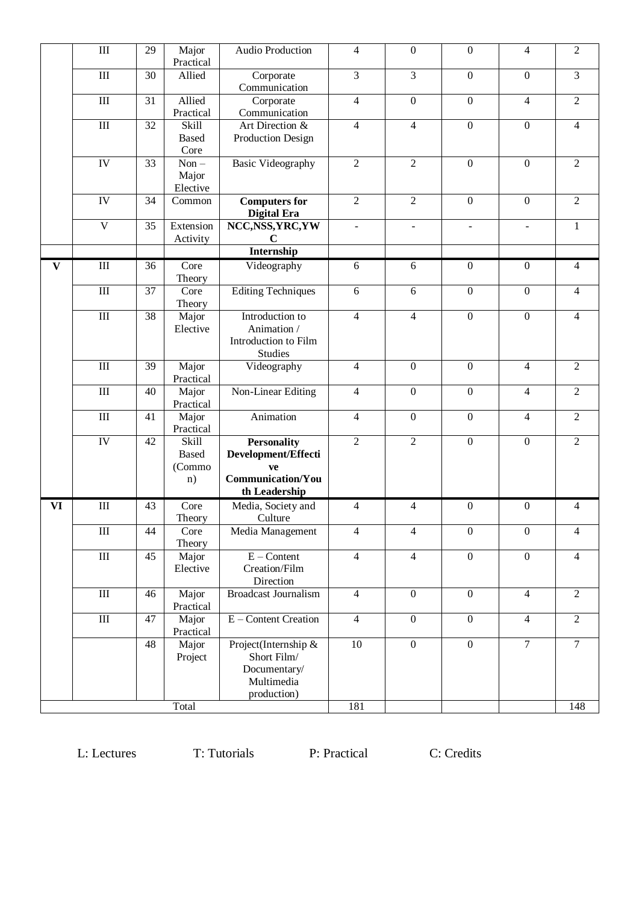|              | $\rm III$                   | 29 | Major<br>Practical                           | Audio Production                                                                             | 4              | $\boldsymbol{0}$ | $\boldsymbol{0}$ | $\overline{4}$   | $\sqrt{2}$              |
|--------------|-----------------------------|----|----------------------------------------------|----------------------------------------------------------------------------------------------|----------------|------------------|------------------|------------------|-------------------------|
|              | III                         | 30 | Allied                                       | Corporate<br>Communication                                                                   | 3              | $\overline{3}$   | $\mathbf{0}$     | $\boldsymbol{0}$ | 3                       |
|              | $\mathop{\rm III}$          | 31 | Allied<br>Practical                          | Corporate<br>Communication                                                                   | $\overline{4}$ | $\mathbf{0}$     | $\mathbf{0}$     | $\overline{4}$   | $\overline{2}$          |
|              | $\mathop{\rm III}\nolimits$ | 32 | Skill<br><b>Based</b><br>Core                | Art Direction &<br>Production Design                                                         | $\overline{4}$ | $\overline{4}$   | $\mathbf{0}$     | $\overline{0}$   | $\overline{4}$          |
|              | IV                          | 33 | $Non -$<br>Major<br>Elective                 | <b>Basic Videography</b>                                                                     | $\overline{2}$ | $\overline{2}$   | $\overline{0}$   | $\mathbf{0}$     | $\overline{2}$          |
|              | IV                          | 34 | Common                                       | <b>Computers for</b><br>Digital Era                                                          | $\overline{2}$ | $\overline{2}$   | $\mathbf{0}$     | $\mathbf{0}$     | $\overline{2}$          |
|              | $\overline{V}$              | 35 | Extension<br>Activity                        | NCC, NSS, YRC, YW<br>$\mathbf C$                                                             | $\blacksquare$ | $\blacksquare$   | $\blacksquare$   | $\overline{a}$   | $\mathbf{1}$            |
|              |                             |    |                                              | Internship                                                                                   |                |                  |                  |                  |                         |
| $\mathbf{V}$ | III                         | 36 | Core<br>Theory                               | Videography                                                                                  | 6              | 6                | $\mathbf{0}$     | $\boldsymbol{0}$ | $\overline{4}$          |
|              | $\rm III$                   | 37 | Core<br>Theory                               | <b>Editing Techniques</b>                                                                    | 6              | 6                | $\overline{0}$   | $\overline{0}$   | $\overline{4}$          |
|              | $\mathop{\rm III}$          | 38 | Major<br>Elective                            | Introduction to<br>Animation /<br>Introduction to Film<br>Studies                            | 4              | $\overline{4}$   | $\mathbf{0}$     | $\mathbf{0}$     | $\overline{4}$          |
|              | $\mathop{\rm III}$          | 39 | Major<br>Practical                           | Videography                                                                                  | 4              | $\boldsymbol{0}$ | $\mathbf{0}$     | $\overline{4}$   | $\overline{2}$          |
|              | $\mathop{\rm III}$          | 40 | Major<br>Practical                           | Non-Linear Editing                                                                           | 4              | $\boldsymbol{0}$ | $\boldsymbol{0}$ | $\overline{4}$   | $\overline{2}$          |
|              | $\mathop{\rm III}$          | 41 | Major<br>Practical                           | Animation                                                                                    | 4              | $\boldsymbol{0}$ | $\boldsymbol{0}$ | $\overline{4}$   | $\overline{2}$          |
|              | IV                          | 42 | <b>Skill</b><br><b>Based</b><br>(Commo<br>n) | <b>Personality</b><br>Development/Effecti<br>ve<br><b>Communication/You</b><br>th Leadership | $\overline{2}$ | $\overline{2}$   | $\mathbf{0}$     | $\boldsymbol{0}$ | $\overline{2}$          |
| <b>VI</b>    | III                         | 43 | Core<br>Theory                               | Media, Society and<br>Culture                                                                | 4              | $\overline{4}$   | $\boldsymbol{0}$ | $\mathbf{0}$     | 4                       |
|              | $\rm III$                   | 44 | Core<br>Theory                               | Media Management                                                                             | $\overline{4}$ | $\overline{4}$   | $\boldsymbol{0}$ | $\boldsymbol{0}$ | 4                       |
|              | $\rm III$                   | 45 | Major<br>Elective                            | $E$ – Content<br>Creation/Film<br>Direction                                                  | $\overline{4}$ | $\overline{4}$   | $\mathbf{0}$     | $\mathbf{0}$     | $\overline{4}$          |
|              | $\mathop{\rm III}$          | 46 | Major<br>Practical                           | <b>Broadcast Journalism</b>                                                                  | $\overline{4}$ | $\mathbf{0}$     | $\mathbf{0}$     | $\overline{4}$   | $\overline{2}$          |
|              | $\rm III$                   | 47 | Major<br>Practical                           | E - Content Creation                                                                         | $\overline{4}$ | $\overline{0}$   | $\mathbf{0}$     | $\overline{4}$   | $\overline{2}$          |
|              |                             | 48 | Major<br>Project<br>Total                    | Project(Internship &<br>Short Film/<br>Documentary/<br>Multimedia<br>production)             | 10<br>181      | $\mathbf{0}$     | $\mathbf{0}$     | $\overline{7}$   | $\boldsymbol{7}$<br>148 |
|              |                             |    |                                              |                                                                                              |                |                  |                  |                  |                         |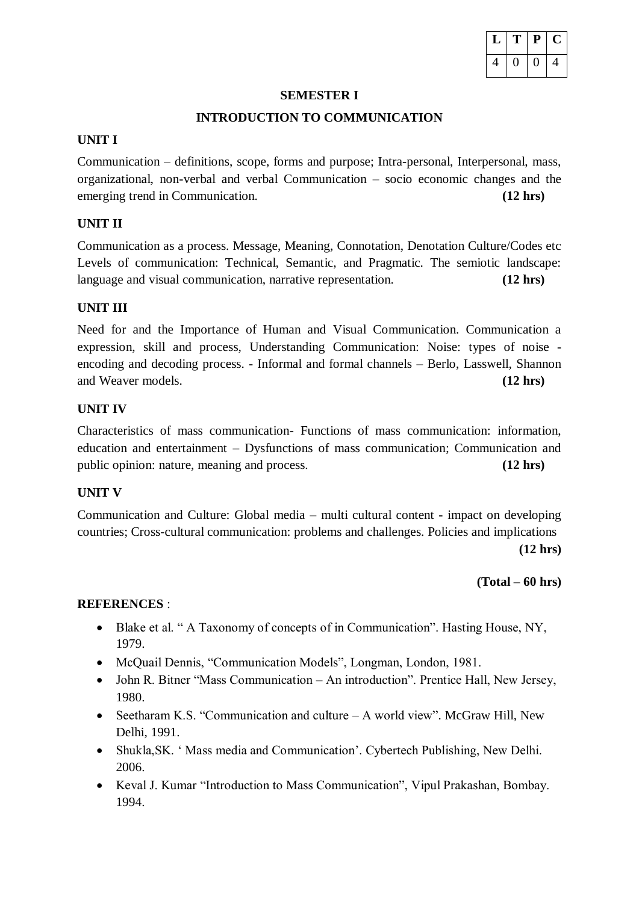|  | T | P | U |
|--|---|---|---|
|  |   |   |   |

#### **SEMESTER I**

### **INTRODUCTION TO COMMUNICATION**

### **UNIT I**

Communication – definitions, scope, forms and purpose; Intra-personal, Interpersonal, mass, organizational, non-verbal and verbal Communication – socio economic changes and the emerging trend in Communication. **(12 hrs)**

## **UNIT II**

Communication as a process. Message, Meaning, Connotation, Denotation Culture/Codes etc Levels of communication: Technical, Semantic, and Pragmatic. The semiotic landscape: language and visual communication, narrative representation. **(12 hrs)**

### **UNIT III**

Need for and the Importance of Human and Visual Communication. Communication a expression, skill and process, Understanding Communication: Noise: types of noise encoding and decoding process. - Informal and formal channels – Berlo, Lasswell, Shannon and Weaver models. **(12 hrs)**

### **UNIT IV**

Characteristics of mass communication- Functions of mass communication: information, education and entertainment – Dysfunctions of mass communication; Communication and public opinion: nature, meaning and process. **(12 hrs)**

# **UNIT V**

Communication and Culture: Global media – multi cultural content - impact on developing countries; Cross-cultural communication: problems and challenges. Policies and implications **(12 hrs)**

#### **(Total – 60 hrs)**

- Blake et al. " A Taxonomy of concepts of in Communication". Hasting House, NY, 1979.
- McQuail Dennis, "Communication Models", Longman, London, 1981.
- John R. Bitner "Mass Communication An introduction". Prentice Hall, New Jersey, 1980.
- Seetharam K.S. "Communication and culture A world view". McGraw Hill, New Delhi, 1991.
- Shukla,SK. ' Mass media and Communication'. Cybertech Publishing, New Delhi. 2006.
- Keval J. Kumar "Introduction to Mass Communication", Vipul Prakashan, Bombay. 1994.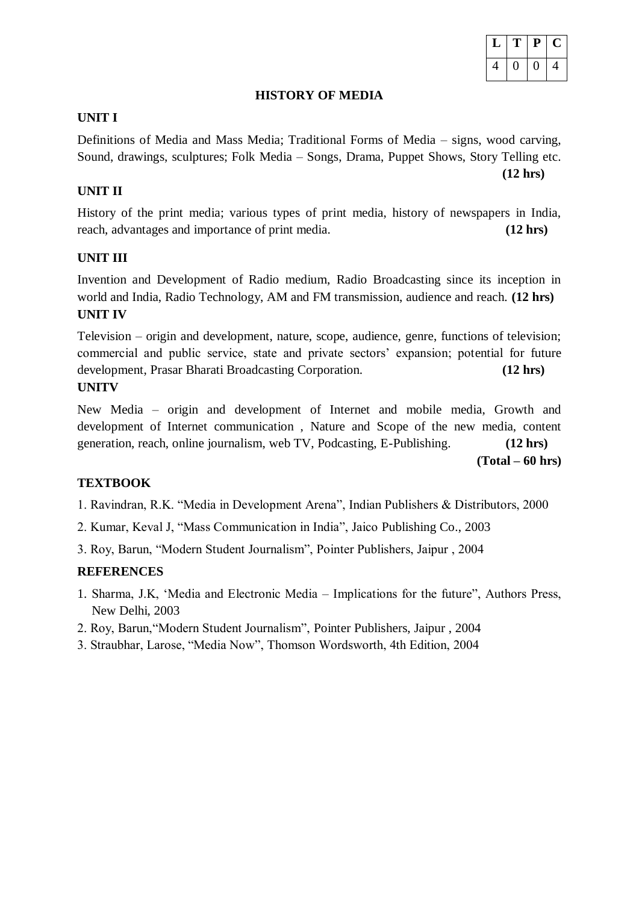

**(12 hrs)**

# **HISTORY OF MEDIA**

#### **UNIT I**

Definitions of Media and Mass Media; Traditional Forms of Media – signs, wood carving, Sound, drawings, sculptures; Folk Media – Songs, Drama, Puppet Shows, Story Telling etc.

## **UNIT II**

History of the print media; various types of print media, history of newspapers in India, reach, advantages and importance of print media. **(12 hrs)**

### **UNIT III**

Invention and Development of Radio medium, Radio Broadcasting since its inception in world and India, Radio Technology, AM and FM transmission, audience and reach. **(12 hrs) UNIT IV** 

Television – origin and development, nature, scope, audience, genre, functions of television; commercial and public service, state and private sectors' expansion; potential for future development, Prasar Bharati Broadcasting Corporation. **(12 hrs) UNITV** 

New Media – origin and development of Internet and mobile media, Growth and development of Internet communication , Nature and Scope of the new media, content generation, reach, online journalism, web TV, Podcasting, E-Publishing. **(12 hrs)**

**(Total – 60 hrs)**

#### **TEXTBOOK**

- 1. Ravindran, R.K. "Media in Development Arena", Indian Publishers & Distributors, 2000
- 2. Kumar, Keval J, "Mass Communication in India", Jaico Publishing Co., 2003
- 3. Roy, Barun, "Modern Student Journalism", Pointer Publishers, Jaipur , 2004

#### **REFERENCES**

- 1. Sharma, J.K, 'Media and Electronic Media Implications for the future", Authors Press, New Delhi, 2003
- 2. Roy, Barun,"Modern Student Journalism", Pointer Publishers, Jaipur , 2004
- 3. Straubhar, Larose, "Media Now", Thomson Wordsworth, 4th Edition, 2004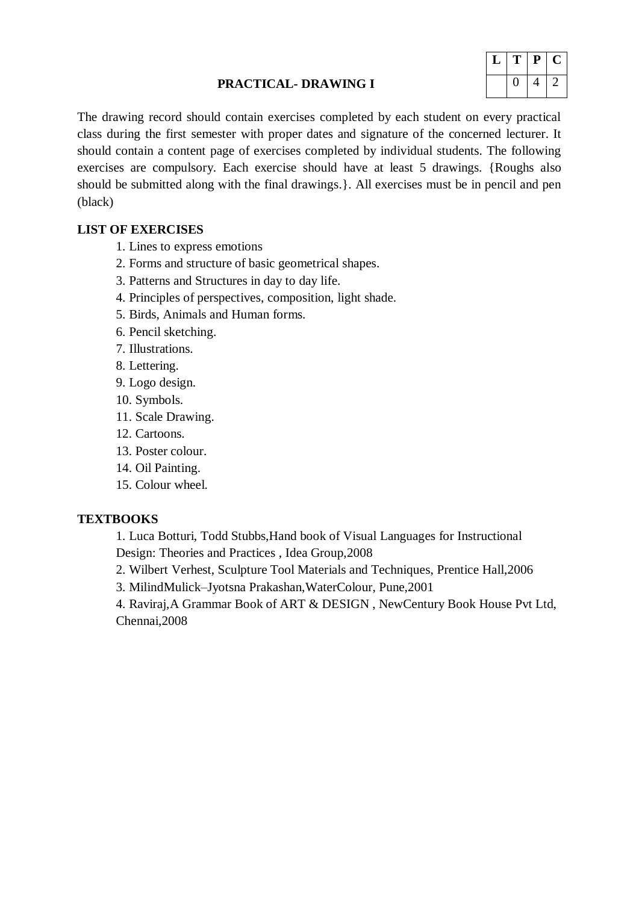### **PRACTICAL- DRAWING I**



The drawing record should contain exercises completed by each student on every practical class during the first semester with proper dates and signature of the concerned lecturer. It should contain a content page of exercises completed by individual students. The following exercises are compulsory. Each exercise should have at least 5 drawings. {Roughs also should be submitted along with the final drawings.}. All exercises must be in pencil and pen (black)

# **LIST OF EXERCISES**

- 1. Lines to express emotions
- 2. Forms and structure of basic geometrical shapes.
- 3. Patterns and Structures in day to day life.
- 4. Principles of perspectives, composition, light shade.
- 5. Birds, Animals and Human forms.
- 6. Pencil sketching.
- 7. Illustrations.
- 8. Lettering.
- 9. Logo design.
- 10. Symbols.
- 11. Scale Drawing.
- 12. Cartoons.
- 13. Poster colour.
- 14. Oil Painting.
- 15. Colour wheel.

# **TEXTBOOKS**

1. Luca Botturi, Todd Stubbs,Hand book of Visual Languages for Instructional Design: Theories and Practices , Idea Group,2008

- 2. Wilbert Verhest, Sculpture Tool Materials and Techniques, Prentice Hall,2006
- 3. MilindMulick–Jyotsna Prakashan,WaterColour, Pune,2001

4. Raviraj,A Grammar Book of ART & DESIGN , NewCentury Book House Pvt Ltd, Chennai,2008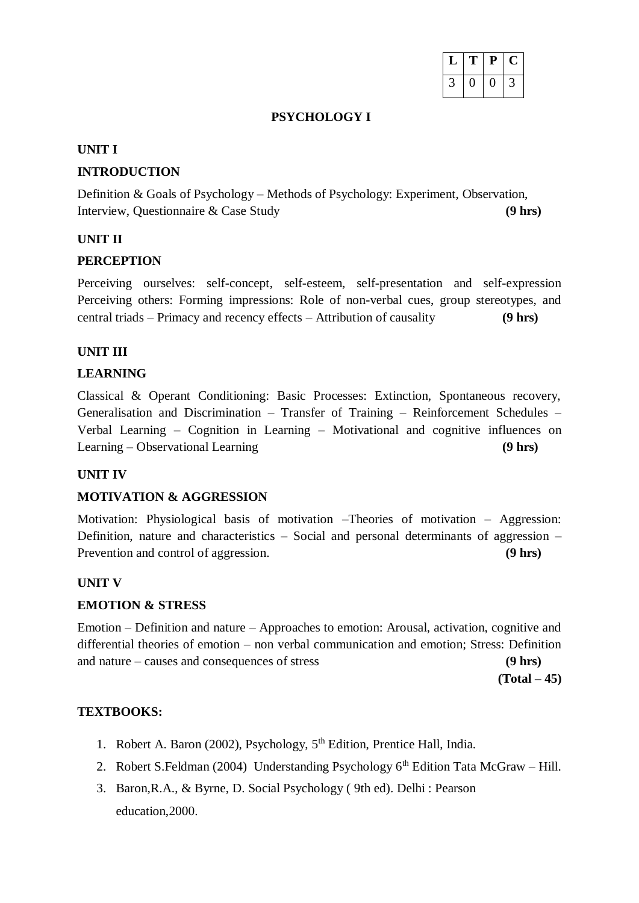| ı | ₽ | L |
|---|---|---|
|   |   |   |

#### **PSYCHOLOGY I**

#### **UNIT I**

# **INTRODUCTION**

Definition & Goals of Psychology – Methods of Psychology: Experiment, Observation, Interview, Questionnaire & Case Study **(9 hrs)**

# **UNIT II**

# **PERCEPTION**

Perceiving ourselves: self-concept, self-esteem, self-presentation and self-expression Perceiving others: Forming impressions: Role of non-verbal cues, group stereotypes, and central triads – Primacy and recency effects – Attribution of causality **(9 hrs)**

# **UNIT III**

# **LEARNING**

Classical & Operant Conditioning: Basic Processes: Extinction, Spontaneous recovery, Generalisation and Discrimination – Transfer of Training – Reinforcement Schedules – Verbal Learning – Cognition in Learning – Motivational and cognitive influences on Learning – Observational Learning **(9 hrs)**

# **UNIT IV**

# **MOTIVATION & AGGRESSION**

Motivation: Physiological basis of motivation –Theories of motivation – Aggression: Definition, nature and characteristics – Social and personal determinants of aggression – Prevention and control of aggression. **(9 hrs)** 

# **UNIT V**

# **EMOTION & STRESS**

Emotion – Definition and nature – Approaches to emotion: Arousal, activation, cognitive and differential theories of emotion – non verbal communication and emotion; Stress: Definition and nature – causes and consequences of stress **(9 hrs)**

**(Total – 45)**

# **TEXTBOOKS:**

- 1. Robert A. Baron (2002), Psychology,  $5<sup>th</sup>$  Edition, Prentice Hall, India.
- 2. Robert S.Feldman (2004) Understanding Psychology  $6<sup>th</sup>$  Edition Tata McGraw Hill.
- 3. Baron,R.A., & Byrne, D. Social Psychology ( 9th ed). Delhi : Pearson education,2000.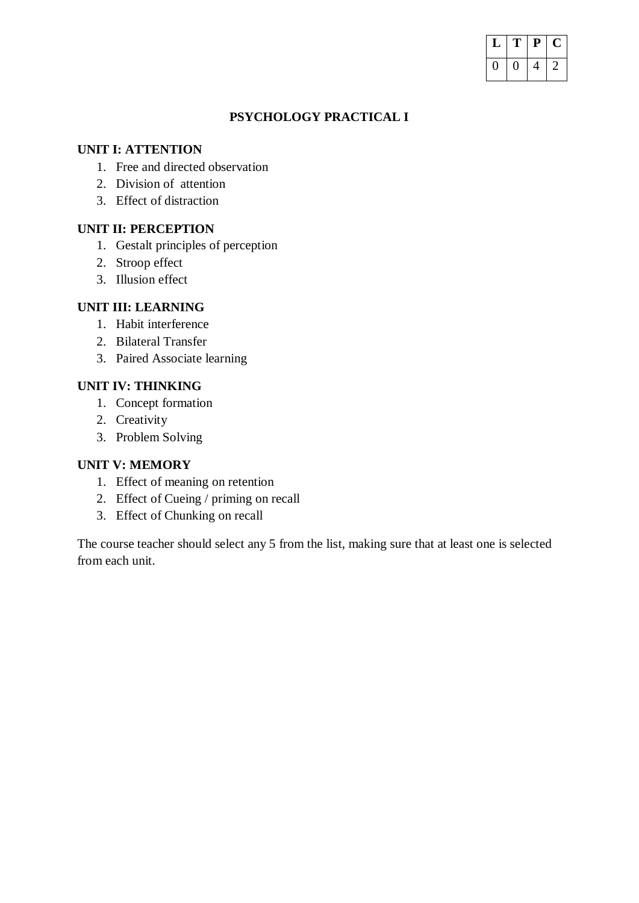| T | P | L. |
|---|---|----|
|   |   |    |

# **PSYCHOLOGY PRACTICAL I**

# **UNIT I: ATTENTION**

- 1. Free and directed observation
- 2. Division of attention
- 3. Effect of distraction

## **UNIT II: PERCEPTION**

- 1. Gestalt principles of perception
- 2. Stroop effect
- 3. Illusion effect

## **UNIT III: LEARNING**

- 1. Habit interference
- 2. Bilateral Transfer
- 3. Paired Associate learning

# **UNIT IV: THINKING**

- 1. Concept formation
- 2. Creativity
- 3. Problem Solving

## **UNIT V: MEMORY**

- 1. Effect of meaning on retention
- 2. Effect of Cueing / priming on recall
- 3. Effect of Chunking on recall

The course teacher should select any 5 from the list, making sure that at least one is selected from each unit.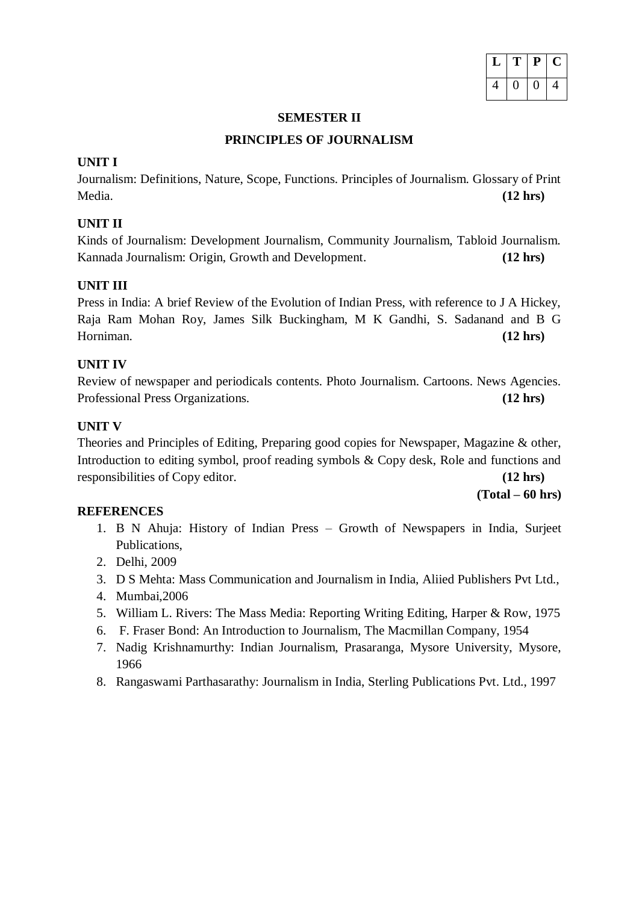| T | P | L.       |
|---|---|----------|
| П | O | <u>л</u> |

#### **SEMESTER II**

#### **PRINCIPLES OF JOURNALISM**

# **UNIT I**

Journalism: Definitions, Nature, Scope, Functions. Principles of Journalism. Glossary of Print Media. **(12 hrs)**

# **UNIT II**

Kinds of Journalism: Development Journalism, Community Journalism, Tabloid Journalism. Kannada Journalism: Origin, Growth and Development. **(12 hrs)**

# **UNIT III**

Press in India: A brief Review of the Evolution of Indian Press, with reference to J A Hickey, Raja Ram Mohan Roy, James Silk Buckingham, M K Gandhi, S. Sadanand and B G Horniman. **(12 hrs)**

# **UNIT IV**

Review of newspaper and periodicals contents. Photo Journalism. Cartoons. News Agencies. Professional Press Organizations. **(12 hrs)**

# **UNIT V**

Theories and Principles of Editing, Preparing good copies for Newspaper, Magazine & other, Introduction to editing symbol, proof reading symbols & Copy desk, Role and functions and responsibilities of Copy editor. **(12 hrs)**

**(Total – 60 hrs)**

# **REFERENCES**

- 1. B N Ahuja: History of Indian Press Growth of Newspapers in India, Surjeet Publications,
- 2. Delhi, 2009
- 3. D S Mehta: Mass Communication and Journalism in India, Aliied Publishers Pvt Ltd.,
- 4. Mumbai,2006
- 5. William L. Rivers: The Mass Media: Reporting Writing Editing, Harper & Row, 1975
- 6. F. Fraser Bond: An Introduction to Journalism, The Macmillan Company, 1954
- 7. Nadig Krishnamurthy: Indian Journalism, Prasaranga, Mysore University, Mysore, 1966
- 8. Rangaswami Parthasarathy: Journalism in India, Sterling Publications Pvt. Ltd., 1997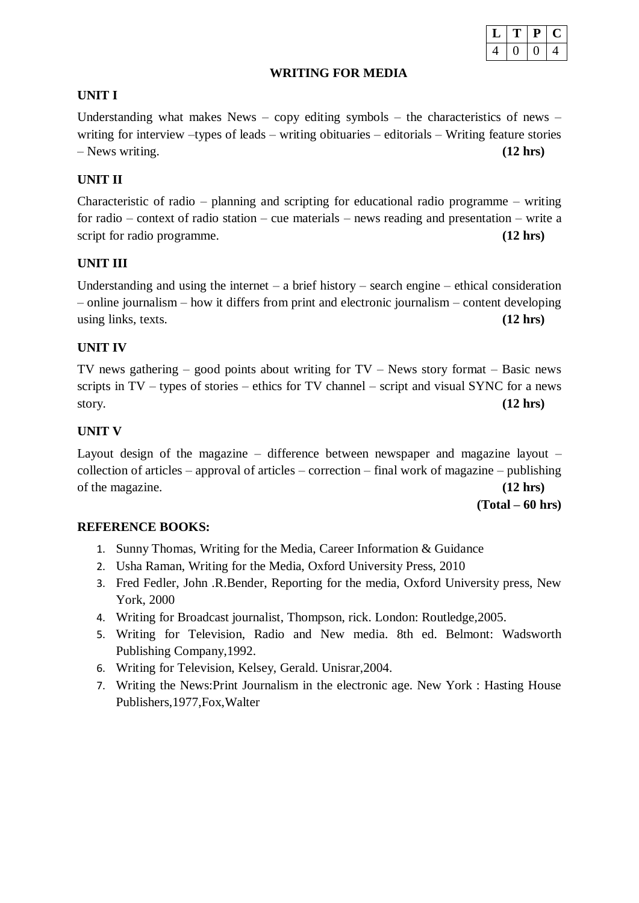### **WRITING FOR MEDIA**

# $L$  | **T** | **P** | **C**  $4 | 0 | 0 | 4$

# **UNIT I**

Understanding what makes News – copy editing symbols – the characteristics of news – writing for interview –types of leads – writing obituaries – editorials – Writing feature stories – News writing. **(12 hrs)**

# **UNIT II**

Characteristic of radio – planning and scripting for educational radio programme – writing for radio – context of radio station – cue materials – news reading and presentation – write a script for radio programme. **(12 hrs) (12 hrs)** 

# **UNIT III**

Understanding and using the internet – a brief history – search engine – ethical consideration – online journalism – how it differs from print and electronic journalism – content developing using links, texts. **(12 hrs)**

# **UNIT IV**

TV news gathering  $-$  good points about writing for  $TV -$  News story format  $-$  Basic news scripts in TV – types of stories – ethics for TV channel – script and visual SYNC for a news story. **(12 hrs)**

# **UNIT V**

Layout design of the magazine – difference between newspaper and magazine layout – collection of articles – approval of articles – correction – final work of magazine – publishing of the magazine. **(12 hrs)**

**(Total – 60 hrs)**

# **REFERENCE BOOKS:**

- 1. Sunny Thomas, Writing for the Media, Career Information & Guidance
- 2. Usha Raman, Writing for the Media, Oxford University Press, 2010
- 3. Fred Fedler, John .R.Bender, Reporting for the media, Oxford University press, New York, 2000
- 4. Writing for Broadcast journalist, Thompson, rick. London: Routledge,2005.
- 5. Writing for Television, Radio and New media. 8th ed. Belmont: Wadsworth Publishing Company,1992.
- 6. Writing for Television, Kelsey, Gerald. Unisrar,2004.
- 7. Writing the News:Print Journalism in the electronic age. New York : Hasting House Publishers,1977,Fox,Walter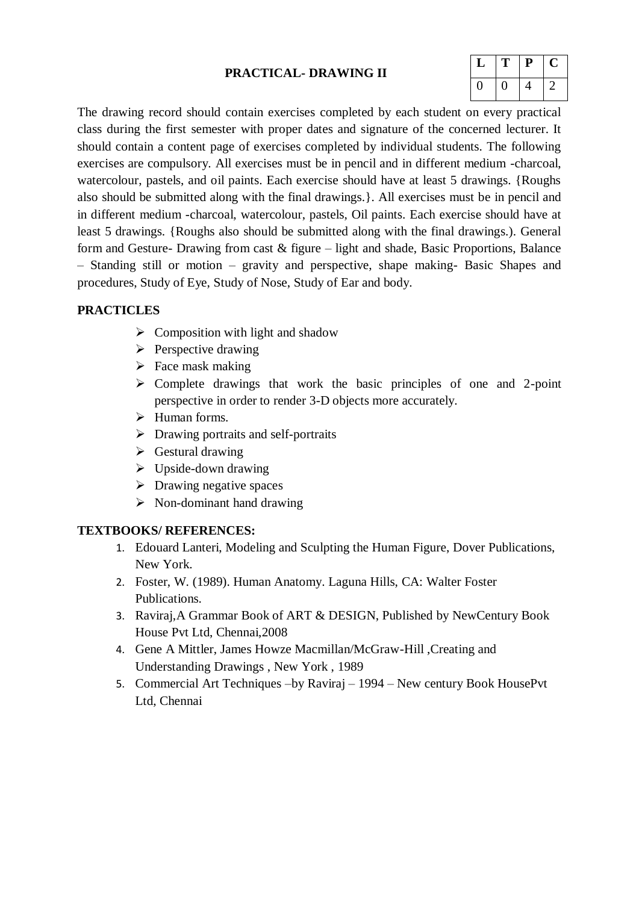# **PRACTICAL- DRAWING II**

| т | Р. | U |
|---|----|---|
| U | 4  |   |

The drawing record should contain exercises completed by each student on every practical class during the first semester with proper dates and signature of the concerned lecturer. It should contain a content page of exercises completed by individual students. The following exercises are compulsory. All exercises must be in pencil and in different medium -charcoal, watercolour, pastels, and oil paints. Each exercise should have at least 5 drawings. {Roughs also should be submitted along with the final drawings.}. All exercises must be in pencil and in different medium -charcoal, watercolour, pastels, Oil paints. Each exercise should have at least 5 drawings. {Roughs also should be submitted along with the final drawings.). General form and Gesture- Drawing from cast & figure – light and shade, Basic Proportions, Balance – Standing still or motion – gravity and perspective, shape making- Basic Shapes and procedures, Study of Eye, Study of Nose, Study of Ear and body.

### **PRACTICLES**

- $\triangleright$  Composition with light and shadow
- $\triangleright$  Perspective drawing
- $\triangleright$  Face mask making
- $\triangleright$  Complete drawings that work the basic principles of one and 2-point perspective in order to render 3-D objects more accurately.
- $\triangleright$  Human forms.
- > Drawing portraits and self-portraits
- $\triangleright$  Gestural drawing
- $\triangleright$  Upside-down drawing
- $\triangleright$  Drawing negative spaces
- $\triangleright$  Non-dominant hand drawing

#### **TEXTBOOKS/ REFERENCES:**

- 1. Edouard Lanteri, Modeling and Sculpting the Human Figure, Dover Publications, New York.
- 2. Foster, W. (1989). Human Anatomy. Laguna Hills, CA: Walter Foster Publications.
- 3. Raviraj,A Grammar Book of ART & DESIGN, Published by NewCentury Book House Pvt Ltd, Chennai,2008
- 4. Gene A Mittler, James Howze Macmillan/McGraw-Hill ,Creating and Understanding Drawings , New York , 1989
- 5. Commercial Art Techniques –by Raviraj 1994 New century Book HousePvt Ltd, Chennai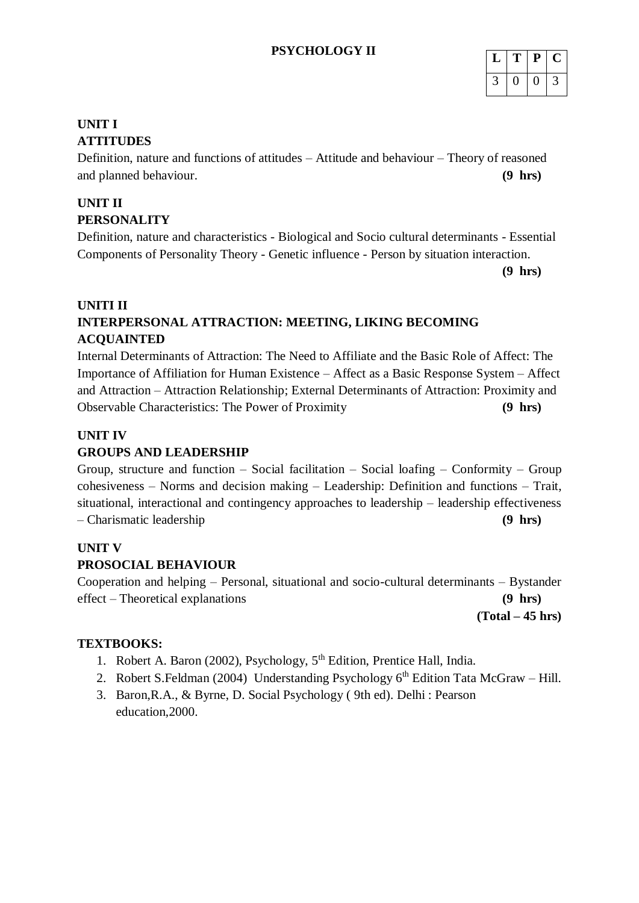# **PSYCHOLOGY II**

| ш | Р | ¢. |
|---|---|----|
|   |   |    |

# **UNIT I ATTITUDES**

Definition, nature and functions of attitudes – Attitude and behaviour – Theory of reasoned and planned behaviour. **(9 hrs)**

# **UNIT II PERSONALITY**

Definition, nature and characteristics - Biological and Socio cultural determinants - Essential Components of Personality Theory - Genetic influence - Person by situation interaction.

**(9 hrs)**

# **UNITI II INTERPERSONAL ATTRACTION: MEETING, LIKING BECOMING ACQUAINTED**

Internal Determinants of Attraction: The Need to Affiliate and the Basic Role of Affect: The Importance of Affiliation for Human Existence – Affect as a Basic Response System – Affect and Attraction – Attraction Relationship; External Determinants of Attraction: Proximity and Observable Characteristics: The Power of Proximity **(9 hrs)**

# **UNIT IV**

# **GROUPS AND LEADERSHIP**

Group, structure and function – Social facilitation – Social loafing – Conformity – Group cohesiveness – Norms and decision making – Leadership: Definition and functions – Trait, situational, interactional and contingency approaches to leadership – leadership effectiveness – Charismatic leadership **(9 hrs)**

# **UNIT V**

# **PROSOCIAL BEHAVIOUR**

Cooperation and helping – Personal, situational and socio-cultural determinants – Bystander effect – Theoretical explanations **(9 hrs)**

**(Total – 45 hrs)**

# **TEXTBOOKS:**

- 1. Robert A. Baron (2002), Psychology,  $5<sup>th</sup>$  Edition, Prentice Hall, India.
- 2. Robert S.Feldman (2004) Understanding Psychology  $6<sup>th</sup>$  Edition Tata McGraw Hill.
- 3. Baron,R.A., & Byrne, D. Social Psychology ( 9th ed). Delhi : Pearson education,2000.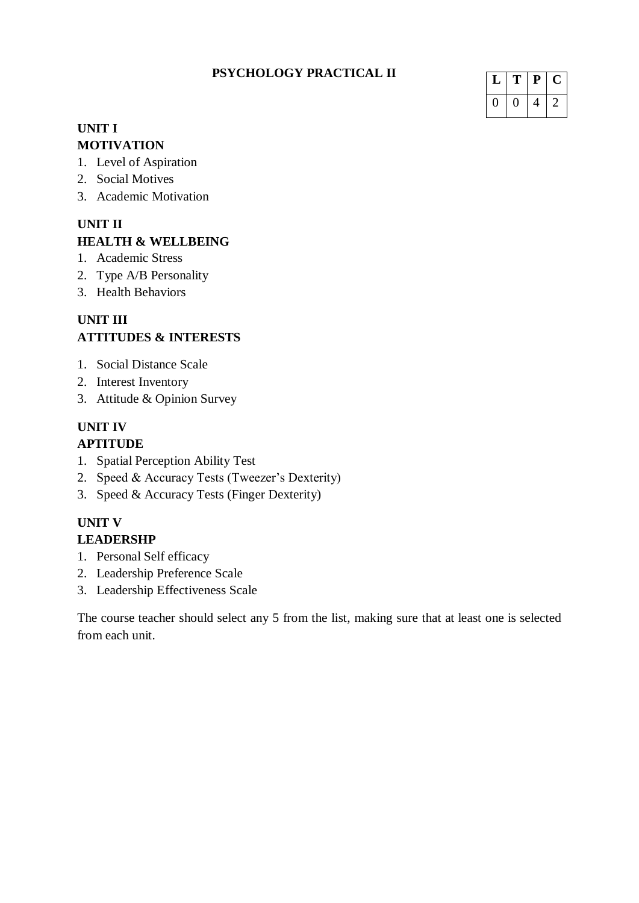# **PSYCHOLOGY PRACTICAL II**

| п | ₽ | L |
|---|---|---|
|   |   |   |

# **UNIT I MOTIVATION**

- 1. Level of Aspiration
- 2. Social Motives
- 3. Academic Motivation

# **UNIT II**

# **HEALTH & WELLBEING**

- 1. Academic Stress
- 2. Type A/B Personality
- 3. Health Behaviors

# **UNIT III ATTITUDES & INTERESTS**

- 1. Social Distance Scale
- 2. Interest Inventory
- 3. Attitude & Opinion Survey

## **UNIT IV APTITUDE**

- 1. Spatial Perception Ability Test
- 2. Speed & Accuracy Tests (Tweezer's Dexterity)
- 3. Speed & Accuracy Tests (Finger Dexterity)

# **UNIT V**

# **LEADERSHP**

- 1. Personal Self efficacy
- 2. Leadership Preference Scale
- 3. Leadership Effectiveness Scale

The course teacher should select any 5 from the list, making sure that at least one is selected from each unit.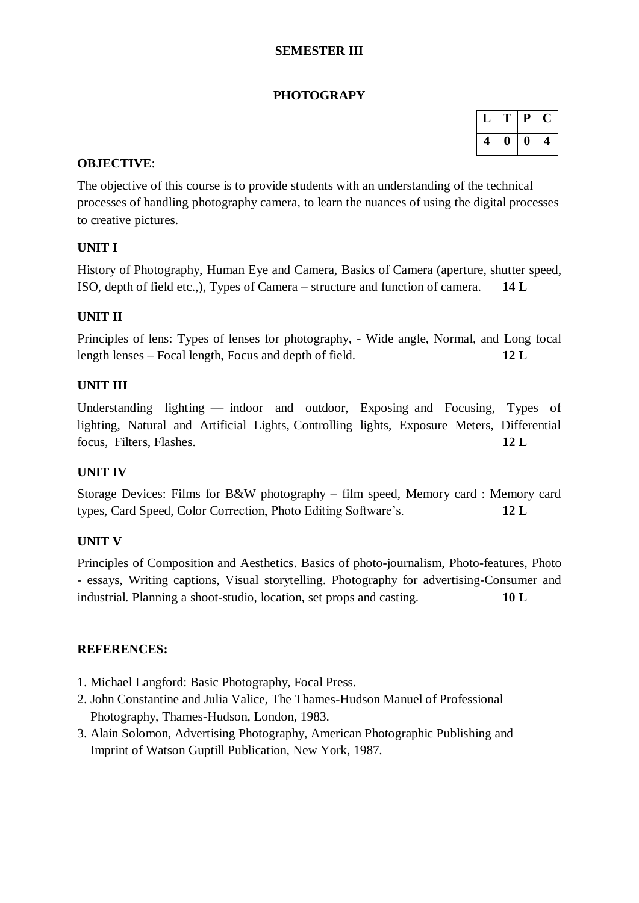# **SEMESTER III**

# **PHOTOGRAPY**

|   | T) | P | l. |
|---|----|---|----|
| 4 | 0  | U | 4  |

## **OBJECTIVE**:

The objective of this course is to provide students with an understanding of the technical processes of handling photography camera, to learn the nuances of using the digital processes to creative pictures.

# **UNIT I**

History of Photography, Human Eye and Camera, Basics of Camera (aperture, shutter speed, ISO, depth of field etc.,), Types of Camera – structure and function of camera. **14 L**

# **UNIT II**

Principles of lens: Types of lenses for photography, - Wide angle, Normal, and Long focal length lenses – Focal length, Focus and depth of field. **12 L**

# **UNIT III**

Understanding lighting — indoor and outdoor, Exposing and Focusing, Types of lighting, Natural and Artificial Lights, Controlling lights, Exposure Meters, Differential focus, Filters, Flashes. **12 L**

# **UNIT IV**

Storage Devices: Films for B&W photography – film speed, Memory card : Memory card types, Card Speed, Color Correction, Photo Editing Software's. **12 L**

# **UNIT V**

Principles of Composition and Aesthetics. Basics of photo-journalism, Photo-features, Photo - essays, Writing captions, Visual storytelling. Photography for advertising-Consumer and industrial. Planning a shoot-studio, location, set props and casting. **10 L**

- 1. Michael Langford: Basic Photography, Focal Press.
- 2. John Constantine and Julia Valice, The Thames-Hudson Manuel of Professional Photography, Thames-Hudson, London, 1983.
- 3. Alain Solomon, Advertising Photography, American Photographic Publishing and Imprint of Watson Guptill Publication, New York, 1987.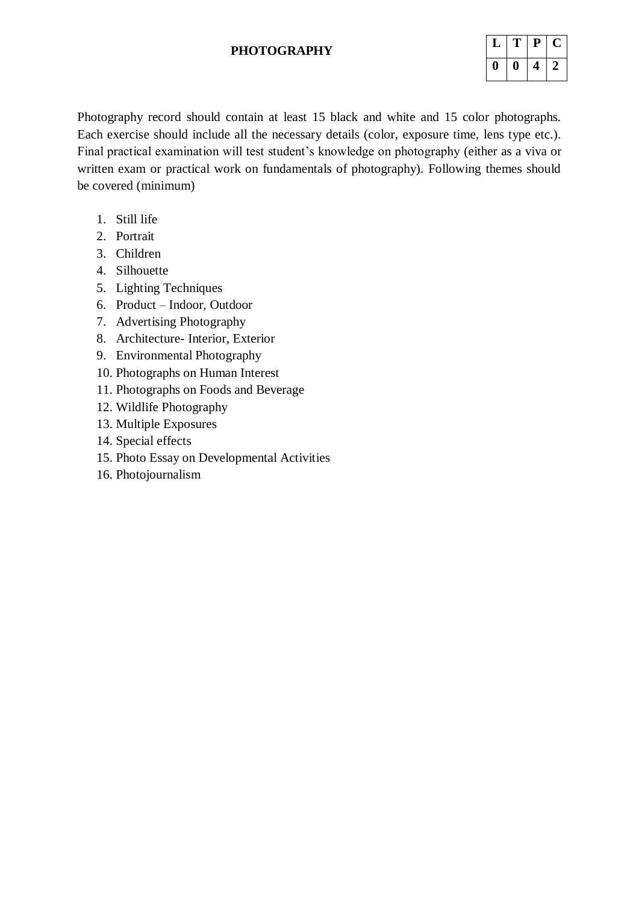## **PHOTOGRAPHY**

|           | т | Р | U |
|-----------|---|---|---|
| <b>II</b> | O |   |   |

Photography record should contain at least 15 black and white and 15 color photographs. Each exercise should include all the necessary details (color, exposure time, lens type etc.). Final practical examination will test student's knowledge on photography (either as a viva or written exam or practical work on fundamentals of photography). Following themes should be covered (minimum)

- 1. Still life
- 2. Portrait
- 3. Children
- 4. Silhouette
- 5. Lighting Techniques
- 6. Product Indoor, Outdoor
- 7. Advertising Photography
- 8. Architecture- Interior, Exterior
- 9. Environmental Photography
- 10. Photographs on Human Interest
- 11. Photographs on Foods and Beverage
- 12. Wildlife Photography
- 13. Multiple Exposures
- 14. Special effects
- 15. Photo Essay on Developmental Activities
- 16. Photojournalism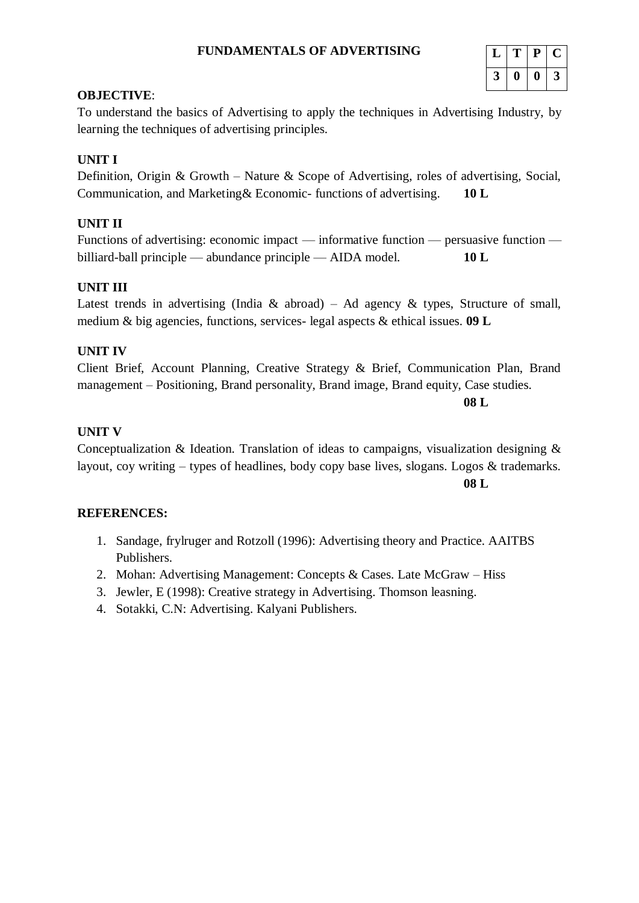## **FUNDAMENTALS OF ADVERTISING**

| L | Ш | Р | τ. |
|---|---|---|----|
| 3 | O | o | 3  |

#### **OBJECTIVE**:

To understand the basics of Advertising to apply the techniques in Advertising Industry, by learning the techniques of advertising principles.

# **UNIT I**

Definition, Origin & Growth – Nature & Scope of Advertising, roles of advertising, Social, Communication, and Marketing& Economic- functions of advertising. **10 L**

# **UNIT II**

Functions of advertising: economic impact — informative function — persuasive function billiard-ball principle — abundance principle — AIDA model. **10 L**

# **UNIT III**

Latest trends in advertising (India & abroad) – Ad agency & types, Structure of small, medium & big agencies, functions, services- legal aspects & ethical issues. **09 L**

# **UNIT IV**

Client Brief, Account Planning, Creative Strategy & Brief, Communication Plan, Brand management – Positioning, Brand personality, Brand image, Brand equity, Case studies.

**08 L**

# **UNIT V**

Conceptualization & Ideation. Translation of ideas to campaigns, visualization designing & layout, coy writing – types of headlines, body copy base lives, slogans. Logos & trademarks.

**08 L**

- 1. Sandage, frylruger and Rotzoll (1996): Advertising theory and Practice. AAITBS Publishers.
- 2. Mohan: Advertising Management: Concepts & Cases. Late McGraw Hiss
- 3. Jewler, E (1998): Creative strategy in Advertising. Thomson leasning.
- 4. Sotakki, C.N: Advertising. Kalyani Publishers.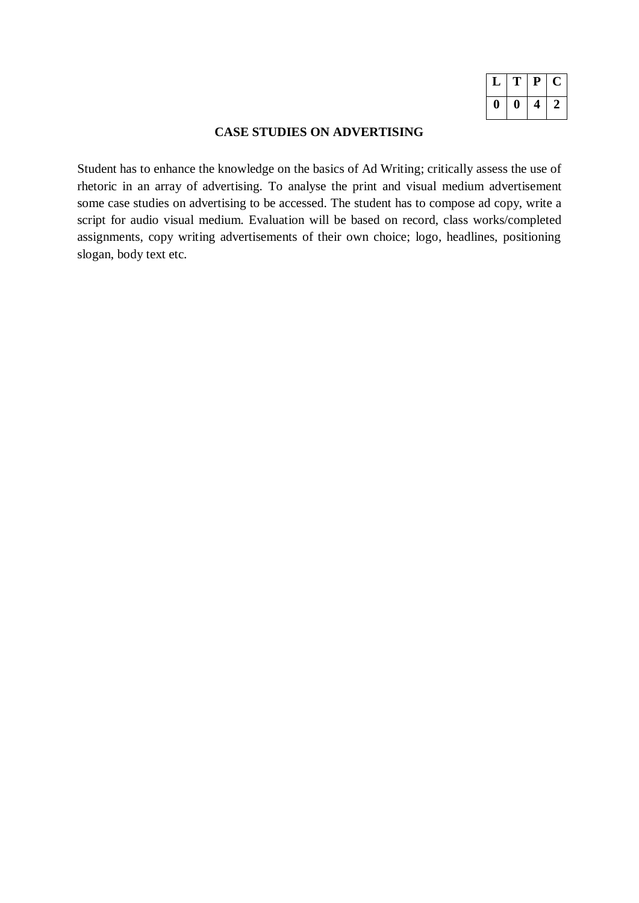|   | T | P | C  |
|---|---|---|----|
| 1 | Ш |   | 7. |

# **CASE STUDIES ON ADVERTISING**

Student has to enhance the knowledge on the basics of Ad Writing; critically assess the use of rhetoric in an array of advertising. To analyse the print and visual medium advertisement some case studies on advertising to be accessed. The student has to compose ad copy, write a script for audio visual medium. Evaluation will be based on record, class works/completed assignments, copy writing advertisements of their own choice; logo, headlines, positioning slogan, body text etc.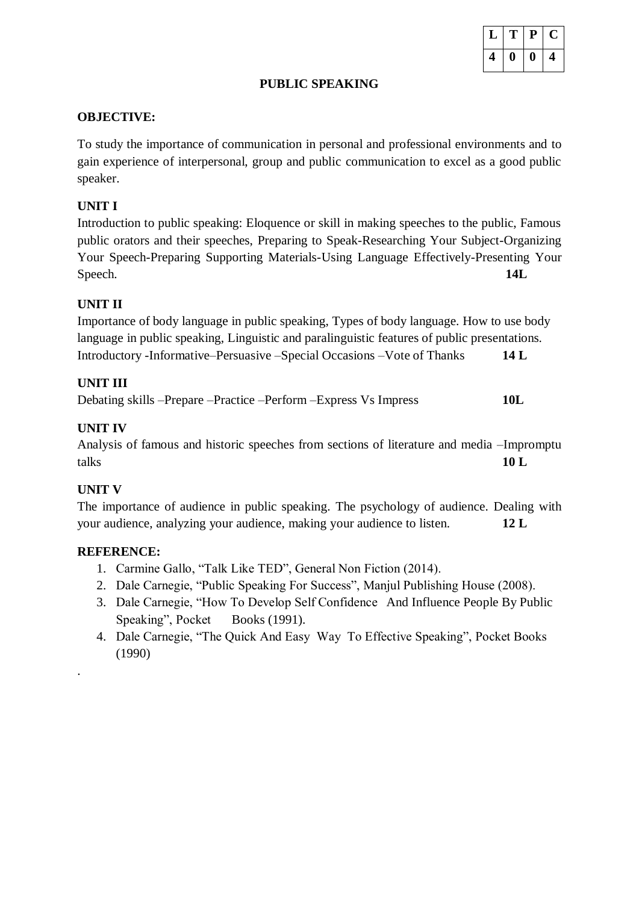### **PUBLIC SPEAKING**

#### **OBJECTIVE:**

To study the importance of communication in personal and professional environments and to gain experience of interpersonal, group and public communication to excel as a good public speaker.

# **UNIT I**

Introduction to public speaking: Eloquence or skill in making speeches to the public, Famous public orators and their speeches, Preparing to Speak-Researching Your Subject-Organizing Your Speech-Preparing Supporting Materials-Using Language Effectively-Presenting Your Speech. **14L**

# **UNIT II**

Importance of body language in public speaking, Types of body language. How to use body language in public speaking, Linguistic and paralinguistic features of public presentations. Introductory -Informative–Persuasive –Special Occasions –Vote of Thanks **14 L**

# **UNIT III**

Debating skills –Prepare –Practice –Perform –Express Vs Impress **10L**

# **UNIT IV**

Analysis of famous and historic speeches from sections of literature and media –Impromptu talks **10 L**

# **UNIT V**

.

The importance of audience in public speaking. The psychology of audience. Dealing with your audience, analyzing your audience, making your audience to listen. **12 L**

- 1. Carmine Gallo, "Talk Like TED", General Non Fiction (2014).
- 2. Dale Carnegie, "Public Speaking For Success", Manjul Publishing House (2008).
- 3. Dale Carnegie, "How To Develop Self Confidence And Influence People By Public Speaking", Pocket Books (1991).
- 4. Dale Carnegie, "The Quick And Easy Way To Effective Speaking", Pocket Books (1990)

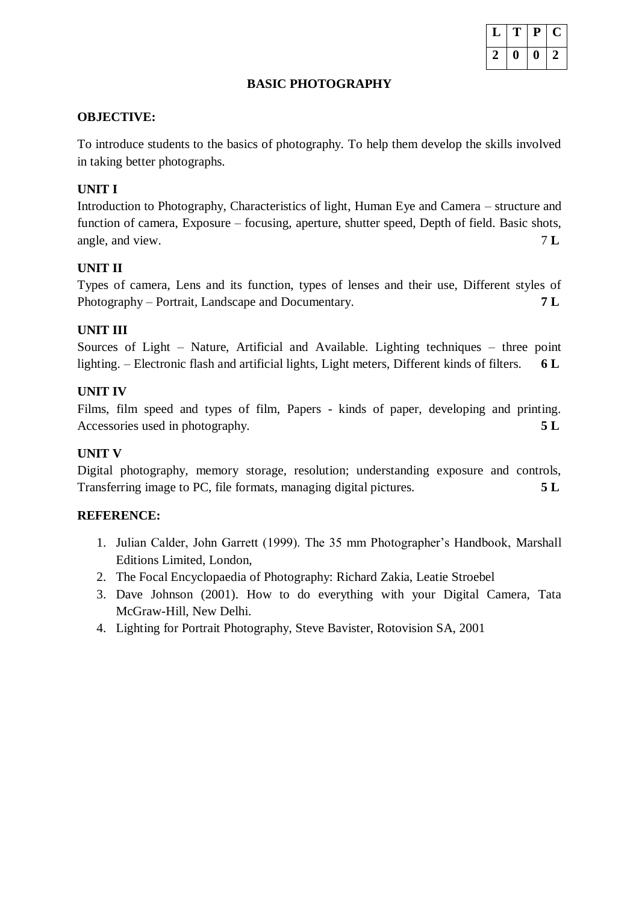

#### **BASIC PHOTOGRAPHY**

#### **OBJECTIVE:**

To introduce students to the basics of photography. To help them develop the skills involved in taking better photographs.

# **UNIT I**

Introduction to Photography, Characteristics of light, Human Eye and Camera – structure and function of camera, Exposure – focusing, aperture, shutter speed, Depth of field. Basic shots, angle, and view. 7 **L**

### **UNIT II**

Types of camera, Lens and its function, types of lenses and their use, Different styles of Photography – Portrait, Landscape and Documentary. **7 L**

### **UNIT III**

Sources of Light – Nature, Artificial and Available. Lighting techniques – three point lighting. – Electronic flash and artificial lights, Light meters, Different kinds of filters. **6 L**

### **UNIT IV**

Films, film speed and types of film, Papers - kinds of paper, developing and printing. Accessories used in photography. **5 L**

# **UNIT V**

Digital photography, memory storage, resolution; understanding exposure and controls, Transferring image to PC, file formats, managing digital pictures. **5 L**

- 1. Julian Calder, John Garrett (1999). The 35 mm Photographer's Handbook, Marshall Editions Limited, London,
- 2. The Focal Encyclopaedia of Photography: Richard Zakia, Leatie Stroebel
- 3. Dave Johnson (2001). How to do everything with your Digital Camera, Tata McGraw-Hill, New Delhi.
- 4. Lighting for Portrait Photography, Steve Bavister, Rotovision SA, 2001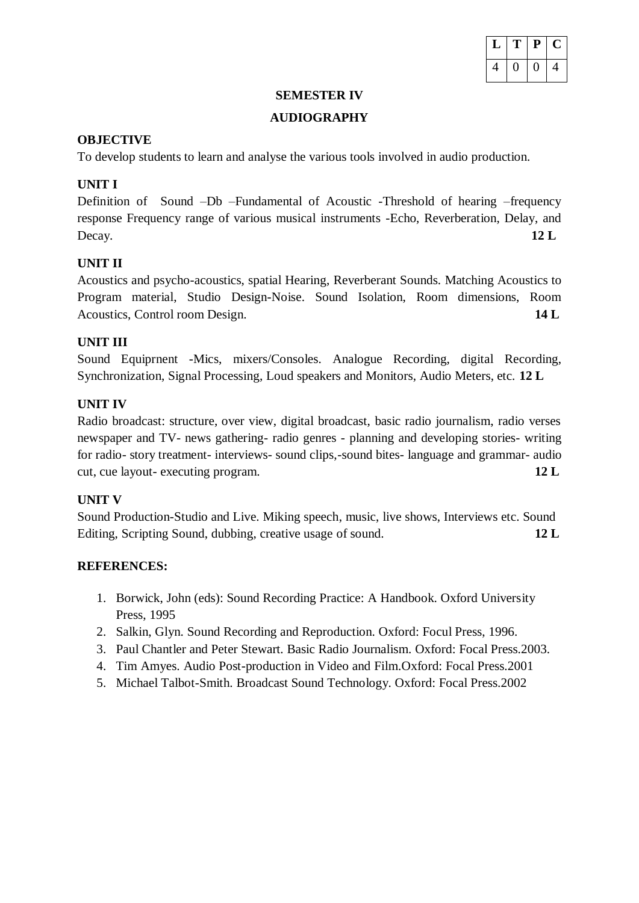

#### **SEMESTER IV**

# **AUDIOGRAPHY**

# **OBJECTIVE**

To develop students to learn and analyse the various tools involved in audio production.

# **UNIT I**

Definition of Sound –Db –Fundamental of Acoustic -Threshold of hearing –frequency response Frequency range of various musical instruments -Echo, Reverberation, Delay, and Decay. **12 L**

# **UNIT II**

Acoustics and psycho-acoustics, spatial Hearing, Reverberant Sounds. Matching Acoustics to Program material, Studio Design-Noise. Sound Isolation, Room dimensions, Room Acoustics, Control room Design. **14 L**

# **UNIT III**

Sound Equiprnent -Mics, mixers/Consoles. Analogue Recording, digital Recording, Synchronization, Signal Processing, Loud speakers and Monitors, Audio Meters, etc. **12 L**

# **UNIT IV**

Radio broadcast: structure, over view, digital broadcast, basic radio journalism, radio verses newspaper and TV- news gathering- radio genres - planning and developing stories- writing for radio- story treatment- interviews- sound clips,-sound bites- language and grammar- audio cut, cue layout- executing program. **12 L**

# **UNIT V**

Sound Production-Studio and Live. Miking speech, music, live shows, Interviews etc. Sound Editing, Scripting Sound, dubbing, creative usage of sound. **12 L**

- 1. Borwick, John (eds): Sound Recording Practice: A Handbook. Oxford University Press, 1995
- 2. Salkin, Glyn. Sound Recording and Reproduction. Oxford: Focul Press, 1996.
- 3. Paul Chantler and Peter Stewart. Basic Radio Journalism. Oxford: Focal Press.2003.
- 4. Tim Amyes. Audio Post-production in Video and Film.Oxford: Focal Press.2001
- 5. Michael Talbot-Smith. Broadcast Sound Technology. Oxford: Focal Press.2002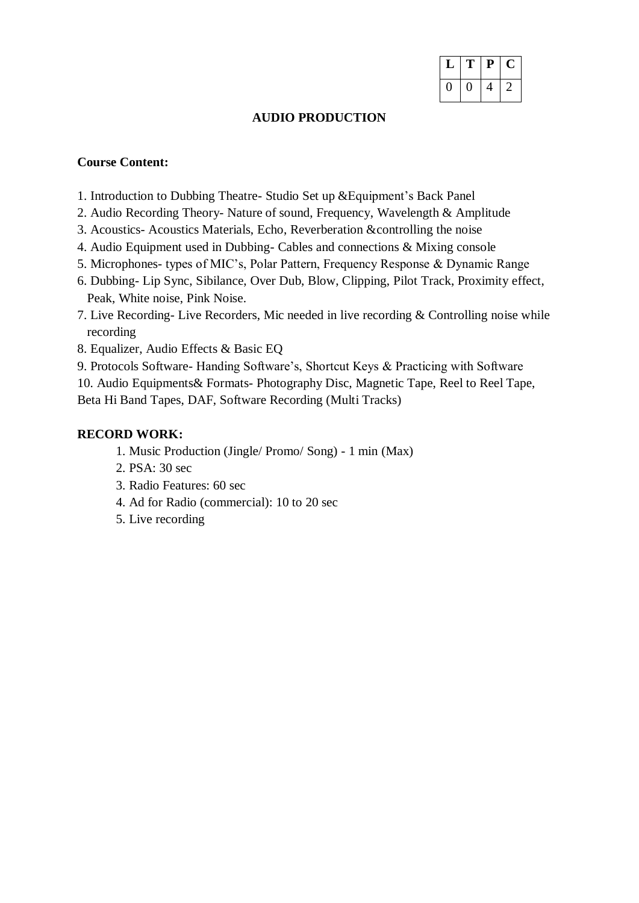| r | P | L |
|---|---|---|
| П | 4 | , |

#### **AUDIO PRODUCTION**

## **Course Content:**

- 1. Introduction to Dubbing Theatre- Studio Set up &Equipment's Back Panel
- 2. Audio Recording Theory- Nature of sound, Frequency, Wavelength & Amplitude
- 3. Acoustics- Acoustics Materials, Echo, Reverberation &controlling the noise
- 4. Audio Equipment used in Dubbing- Cables and connections & Mixing console
- 5. Microphones- types of MIC's, Polar Pattern, Frequency Response & Dynamic Range
- 6. Dubbing- Lip Sync, Sibilance, Over Dub, Blow, Clipping, Pilot Track, Proximity effect, Peak, White noise, Pink Noise.
- 7. Live Recording- Live Recorders, Mic needed in live recording & Controlling noise while recording
- 8. Equalizer, Audio Effects & Basic EQ
- 9. Protocols Software- Handing Software's, Shortcut Keys & Practicing with Software
- 10. Audio Equipments& Formats- Photography Disc, Magnetic Tape, Reel to Reel Tape, Beta Hi Band Tapes, DAF, Software Recording (Multi Tracks)

### **RECORD WORK:**

- 1. Music Production (Jingle/ Promo/ Song) 1 min (Max)
- 2. PSA: 30 sec
- 3. Radio Features: 60 sec
- 4. Ad for Radio (commercial): 10 to 20 sec
- 5. Live recording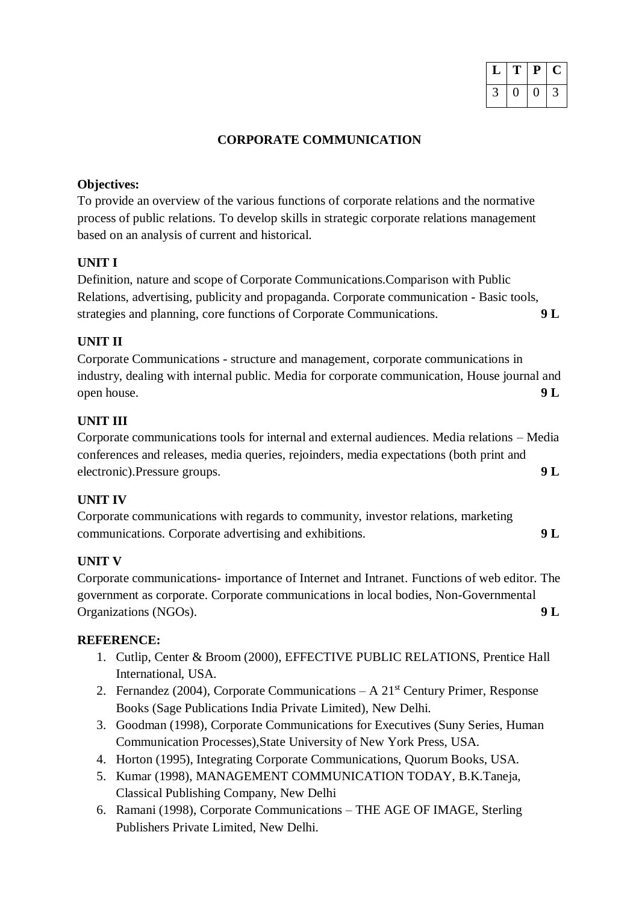| г | $\mathbf{P}$ | L |
|---|--------------|---|
|   |              |   |

# **CORPORATE COMMUNICATION**

## **Objectives:**

To provide an overview of the various functions of corporate relations and the normative process of public relations. To develop skills in strategic corporate relations management based on an analysis of current and historical.

# **UNIT I**

Definition, nature and scope of Corporate Communications.Comparison with Public Relations, advertising, publicity and propaganda. Corporate communication - Basic tools, strategies and planning, core functions of Corporate Communications. **9 L**

# **UNIT II**

Corporate Communications - structure and management, corporate communications in industry, dealing with internal public. Media for corporate communication, House journal and open house. **9 L**

# **UNIT III**

Corporate communications tools for internal and external audiences. Media relations – Media conferences and releases, media queries, rejoinders, media expectations (both print and electronic).Pressure groups. **9 L**

# **UNIT IV**

Corporate communications with regards to community, investor relations, marketing communications. Corporate advertising and exhibitions. **9 L**

# **UNIT V**

Corporate communications- importance of Internet and Intranet. Functions of web editor. The government as corporate. Corporate communications in local bodies, Non-Governmental Organizations (NGOs). **9 L**

- 1. Cutlip, Center & Broom (2000), EFFECTIVE PUBLIC RELATIONS, Prentice Hall International, USA.
- 2. Fernandez (2004), Corporate Communications  $A 21<sup>st</sup>$  Century Primer, Response Books (Sage Publications India Private Limited), New Delhi.
- 3. Goodman (1998), Corporate Communications for Executives (Suny Series, Human Communication Processes),State University of New York Press, USA.
- 4. Horton (1995), Integrating Corporate Communications, Quorum Books, USA.
- 5. Kumar (1998), MANAGEMENT COMMUNICATION TODAY, B.K.Taneja, Classical Publishing Company, New Delhi
- 6. Ramani (1998), Corporate Communications THE AGE OF IMAGE, Sterling Publishers Private Limited, New Delhi.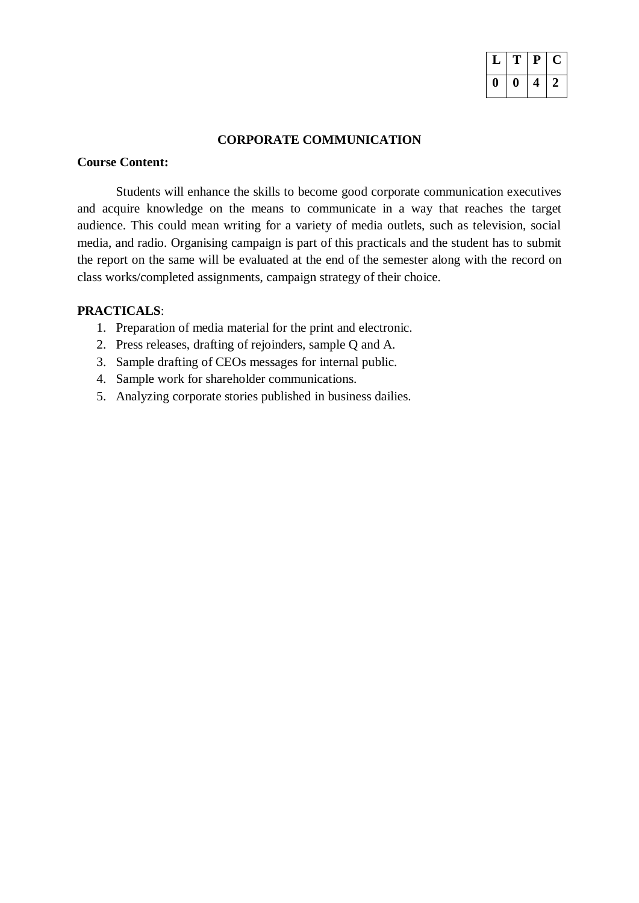|   | T | $\mathbf{P}$ | L |
|---|---|--------------|---|
| Ш | O | 4            |   |

#### **CORPORATE COMMUNICATION**

# **Course Content:**

Students will enhance the skills to become good corporate communication executives and acquire knowledge on the means to communicate in a way that reaches the target audience. This could mean writing for a variety of media outlets, such as television, social media, and radio. Organising campaign is part of this practicals and the student has to submit the report on the same will be evaluated at the end of the semester along with the record on class works/completed assignments, campaign strategy of their choice.

### **PRACTICALS**:

- 1. Preparation of media material for the print and electronic.
- 2. Press releases, drafting of rejoinders, sample Q and A.
- 3. Sample drafting of CEOs messages for internal public.
- 4. Sample work for shareholder communications.
- 5. Analyzing corporate stories published in business dailies.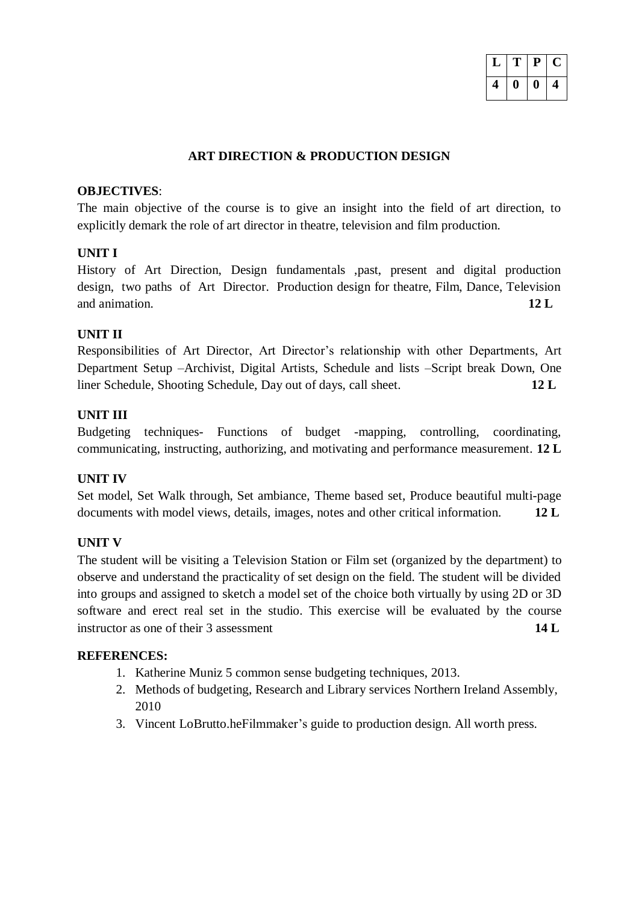| т | P | U. |
|---|---|----|
| 0 | O | 4  |

## **ART DIRECTION & PRODUCTION DESIGN**

#### **OBJECTIVES**:

The main objective of the course is to give an insight into the field of art direction, to explicitly demark the role of art director in theatre, television and film production.

#### **UNIT I**

History of Art Direction, Design fundamentals ,past, present and digital production design, two paths of Art Director. Production design for theatre, Film, Dance, Television and animation **12 L** 

### **UNIT II**

Responsibilities of Art Director, Art Director's relationship with other Departments, Art Department Setup –Archivist, Digital Artists, Schedule and lists –Script break Down, One liner Schedule, Shooting Schedule, Day out of days, call sheet. **12 L**

### **UNIT III**

Budgeting techniques- Functions of budget -mapping, controlling, coordinating, communicating, instructing, authorizing, and motivating and performance measurement. **12 L**

#### **UNIT IV**

Set model, Set Walk through, Set ambiance, Theme based set, Produce beautiful multi-page documents with model views, details, images, notes and other critical information. **12 L**

#### **UNIT V**

The student will be visiting a Television Station or Film set (organized by the department) to observe and understand the practicality of set design on the field. The student will be divided into groups and assigned to sketch a model set of the choice both virtually by using 2D or 3D software and erect real set in the studio. This exercise will be evaluated by the course instructor as one of their 3 assessment **14 L** 

- 1. Katherine Muniz 5 common sense budgeting techniques, 2013.
- 2. Methods of budgeting, Research and Library services Northern Ireland Assembly, 2010
- 3. Vincent LoBrutto.heFilmmaker's guide to production design. All worth press.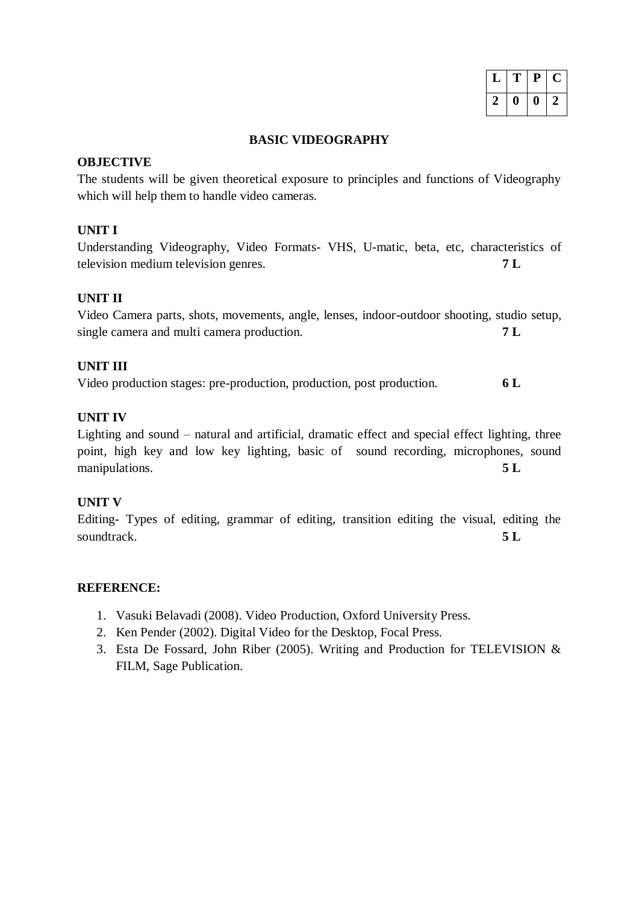| ı | $\mathbf{P}$ | L |
|---|--------------|---|
| U | 1)           |   |

#### **BASIC VIDEOGRAPHY**

#### **OBJECTIVE**

The students will be given theoretical exposure to principles and functions of Videography which will help them to handle video cameras.

#### **UNIT I**

Understanding Videography, Video Formats- VHS, U-matic, beta, etc, characteristics of television medium television genres. **7 L**

#### **UNIT II**

| Video Camera parts, shots, movements, angle, lenses, indoor-outdoor shooting, studio setup, |  |  |  |
|---------------------------------------------------------------------------------------------|--|--|--|
| single camera and multi camera production.                                                  |  |  |  |

#### **UNIT III**

Video production stages: pre-production, production, post production. **6 L**

# **UNIT IV**

Lighting and sound – natural and artificial, dramatic effect and special effect lighting, three point, high key and low key lighting, basic of sound recording, microphones, sound manipulations. **5 L**

#### **UNIT V**

Editing- Types of editing, grammar of editing, transition editing the visual, editing the soundtrack. **5 L**

- 1. Vasuki Belavadi (2008). Video Production, Oxford University Press.
- 2. Ken Pender (2002). Digital Video for the Desktop, Focal Press.
- 3. Esta De Fossard, John Riber (2005). Writing and Production for TELEVISION & FILM, Sage Publication.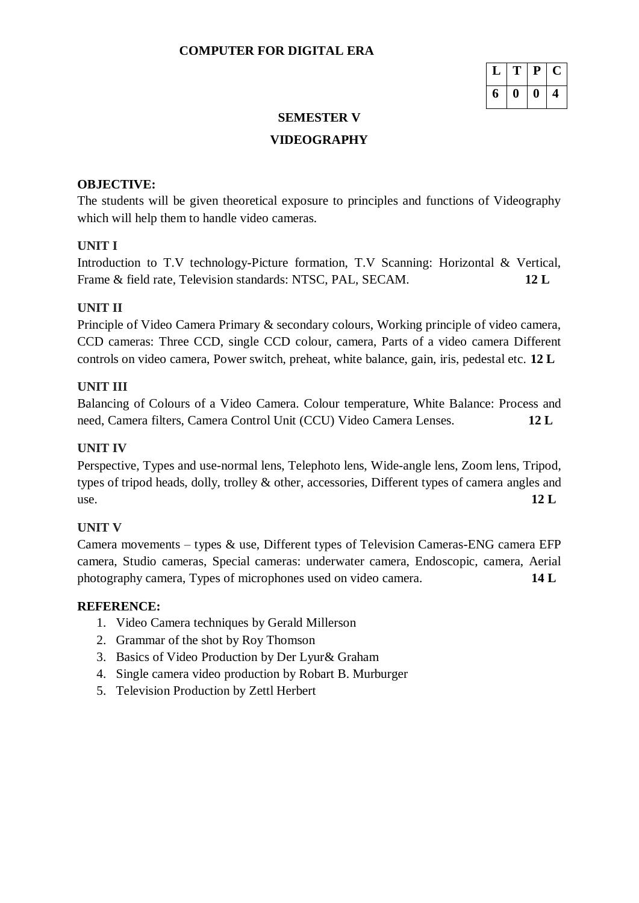|   | T  | $\mathbf{P}$ |  |
|---|----|--------------|--|
| 6 | 11 | 0            |  |

# **SEMESTER V**

# **VIDEOGRAPHY**

# **OBJECTIVE:**

The students will be given theoretical exposure to principles and functions of Videography which will help them to handle video cameras.

# **UNIT I**

Introduction to T.V technology-Picture formation, T.V Scanning: Horizontal & Vertical, Frame & field rate, Television standards: NTSC, PAL, SECAM. **12 L** 

# **UNIT II**

Principle of Video Camera Primary & secondary colours, Working principle of video camera, CCD cameras: Three CCD, single CCD colour, camera, Parts of a video camera Different controls on video camera, Power switch, preheat, white balance, gain, iris, pedestal etc. **12 L**

# **UNIT III**

Balancing of Colours of a Video Camera. Colour temperature, White Balance: Process and need, Camera filters, Camera Control Unit (CCU) Video Camera Lenses. **12 L**

# **UNIT IV**

Perspective, Types and use-normal lens, Telephoto lens, Wide-angle lens, Zoom lens, Tripod, types of tripod heads, dolly, trolley & other, accessories, Different types of camera angles and use. **12 L**

# **UNIT V**

Camera movements – types & use, Different types of Television Cameras-ENG camera EFP camera, Studio cameras, Special cameras: underwater camera, Endoscopic, camera, Aerial photography camera, Types of microphones used on video camera. **14 L**

- 1. Video Camera techniques by Gerald Millerson
- 2. Grammar of the shot by Roy Thomson
- 3. Basics of Video Production by Der Lyur& Graham
- 4. Single camera video production by Robart B. Murburger
- 5. Television Production by Zettl Herbert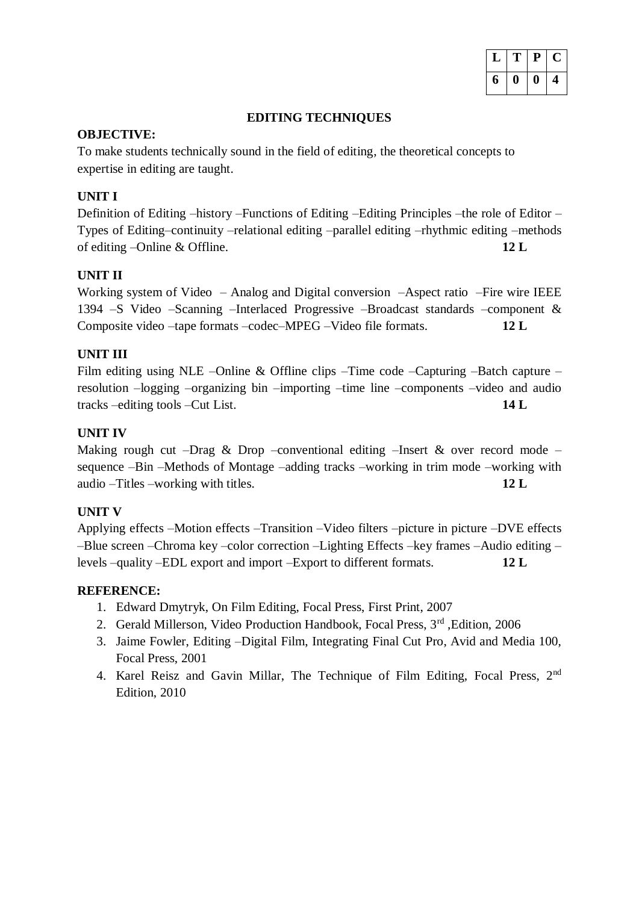|   | ™ | P | υ, |
|---|---|---|----|
| 6 | o | " | л. |

#### **EDITING TECHNIQUES**

### **OBJECTIVE:**

To make students technically sound in the field of editing, the theoretical concepts to expertise in editing are taught.

# **UNIT I**

Definition of Editing –history –Functions of Editing –Editing Principles –the role of Editor – Types of Editing–continuity –relational editing –parallel editing –rhythmic editing –methods of editing –Online & Offline. **12 L**

# **UNIT II**

Working system of Video – Analog and Digital conversion –Aspect ratio –Fire wire IEEE 1394 –S Video –Scanning –Interlaced Progressive –Broadcast standards –component & Composite video –tape formats –codec–MPEG –Video file formats. **12 L**

# **UNIT III**

Film editing using NLE –Online & Offline clips –Time code –Capturing –Batch capture – resolution –logging –organizing bin –importing –time line –components –video and audio tracks –editing tools –Cut List. **14 L**

# **UNIT IV**

Making rough cut –Drag & Drop –conventional editing –Insert & over record mode – sequence –Bin –Methods of Montage –adding tracks –working in trim mode –working with audio –Titles –working with titles. **12 L**

# **UNIT V**

Applying effects –Motion effects –Transition –Video filters –picture in picture –DVE effects –Blue screen –Chroma key –color correction –Lighting Effects –key frames –Audio editing – levels –quality –EDL export and import –Export to different formats. **12 L**

- 1. Edward Dmytryk, On Film Editing, Focal Press, First Print, 2007
- 2. Gerald Millerson, Video Production Handbook, Focal Press, 3rd ,Edition, 2006
- 3. Jaime Fowler, Editing –Digital Film, Integrating Final Cut Pro, Avid and Media 100, Focal Press, 2001
- 4. Karel Reisz and Gavin Millar, The Technique of Film Editing, Focal Press, 2<sup>nd</sup> Edition, 2010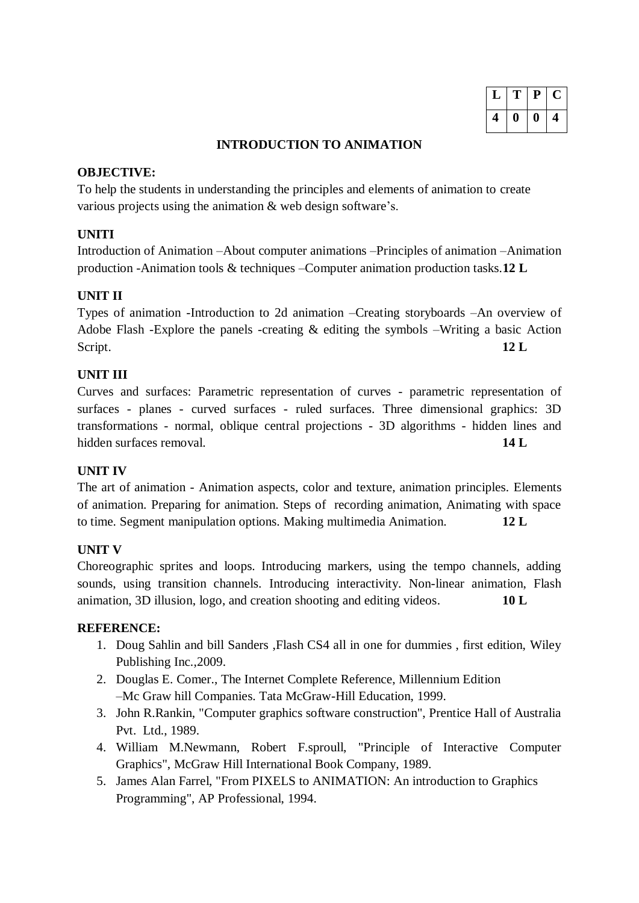| T | $\mathbf{P}$ | $\blacksquare$ |
|---|--------------|----------------|
| 0 | 0            |                |

#### **INTRODUCTION TO ANIMATION**

#### **OBJECTIVE:**

To help the students in understanding the principles and elements of animation to create various projects using the animation & web design software's.

# **UNITI**

Introduction of Animation –About computer animations –Principles of animation –Animation production -Animation tools & techniques –Computer animation production tasks.**12 L**

# **UNIT II**

Types of animation -Introduction to 2d animation –Creating storyboards –An overview of Adobe Flash -Explore the panels -creating & editing the symbols –Writing a basic Action Script. **12 L**

# **UNIT III**

Curves and surfaces: Parametric representation of curves - parametric representation of surfaces - planes - curved surfaces - ruled surfaces. Three dimensional graphics: 3D transformations - normal, oblique central projections - 3D algorithms - hidden lines and hidden surfaces removal. **14 L**

# **UNIT IV**

The art of animation - Animation aspects, color and texture, animation principles. Elements of animation. Preparing for animation. Steps of recording animation, Animating with space to time. Segment manipulation options. Making multimedia Animation. **12 L**

# **UNIT V**

Choreographic sprites and loops. Introducing markers, using the tempo channels, adding sounds, using transition channels. Introducing interactivity. Non-linear animation, Flash animation, 3D illusion, logo, and creation shooting and editing videos. **10 L**

- 1. Doug Sahlin and bill Sanders ,Flash CS4 all in one for dummies , first edition, Wiley Publishing Inc.,2009.
- 2. Douglas E. Comer., The Internet Complete Reference, Millennium Edition –Mc Graw hill Companies. Tata McGraw-Hill Education, 1999.
- 3. John R.Rankin, "Computer graphics software construction", Prentice Hall of Australia Pvt. Ltd., 1989.
- 4. William M.Newmann, Robert F.sproull, "Principle of Interactive Computer Graphics", McGraw Hill International Book Company, 1989.
- 5. James Alan Farrel, "From PIXELS to ANIMATION: An introduction to Graphics Programming", AP Professional, 1994.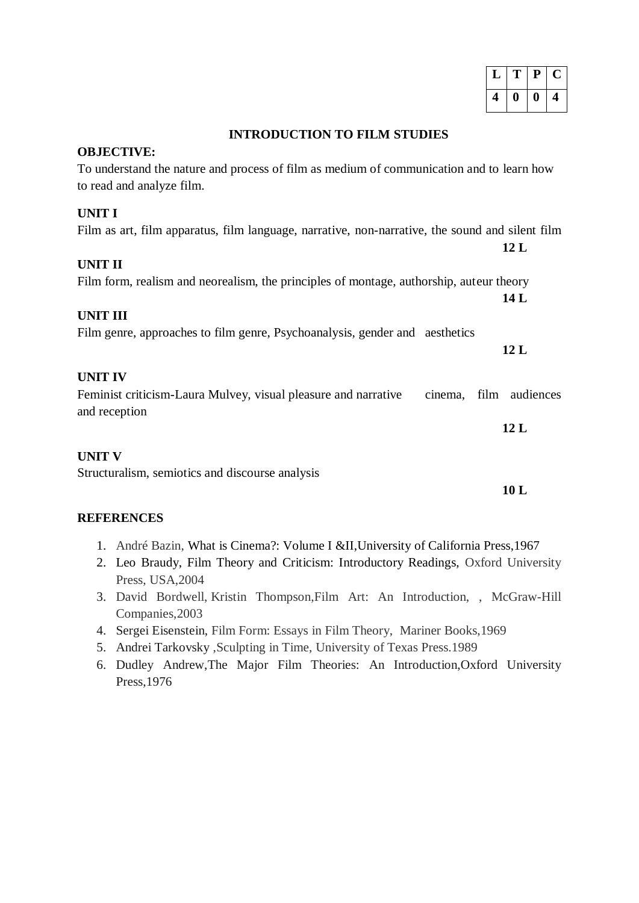|   | $\Gamma$ | P |  |
|---|----------|---|--|
| 4 | 0        | O |  |

#### **INTRODUCTION TO FILM STUDIES**

#### **OBJECTIVE:**

| To understand the nature and process of film as medium of communication and to learn how<br>to read and analyze film. |                |
|-----------------------------------------------------------------------------------------------------------------------|----------------|
| <b>UNIT I</b>                                                                                                         |                |
| Film as art, film apparatus, film language, narrative, non-narrative, the sound and silent film                       | 12L            |
| <b>UNIT II</b>                                                                                                        |                |
| Film form, realism and neorealism, the principles of montage, authorship, auteur theory                               | 14 L           |
| <b>UNIT III</b>                                                                                                       |                |
| Film genre, approaches to film genre, Psychoanalysis, gender and aesthetics                                           | 12L            |
| <b>UNIT IV</b>                                                                                                        |                |
| Feminist criticism-Laura Mulvey, visual pleasure and narrative<br>cinema,<br>and reception                            | film audiences |
|                                                                                                                       | 12L            |
| <b>UNIT V</b>                                                                                                         |                |
| Structuralism, semiotics and discourse analysis                                                                       |                |
|                                                                                                                       | 10L            |
| DEERDEVARA                                                                                                            |                |

#### **REFERENCES**

- 1. André Bazin, What is Cinema?: Volume I &II,University of California Press,1967
- 2. Leo Braudy, Film Theory and Criticism: Introductory Readings, Oxford University Press, USA,2004
- 3. David Bordwell, Kristin Thompson,Film Art: An Introduction, , McGraw-Hill Companies,2003
- 4. Sergei Eisenstein, Film Form: Essays in Film Theory, Mariner Books,1969
- 5. Andrei Tarkovsky ,Sculpting in Time, University of Texas Press.1989
- 6. Dudley Andrew,The Major Film Theories: An Introduction,Oxford University Press,1976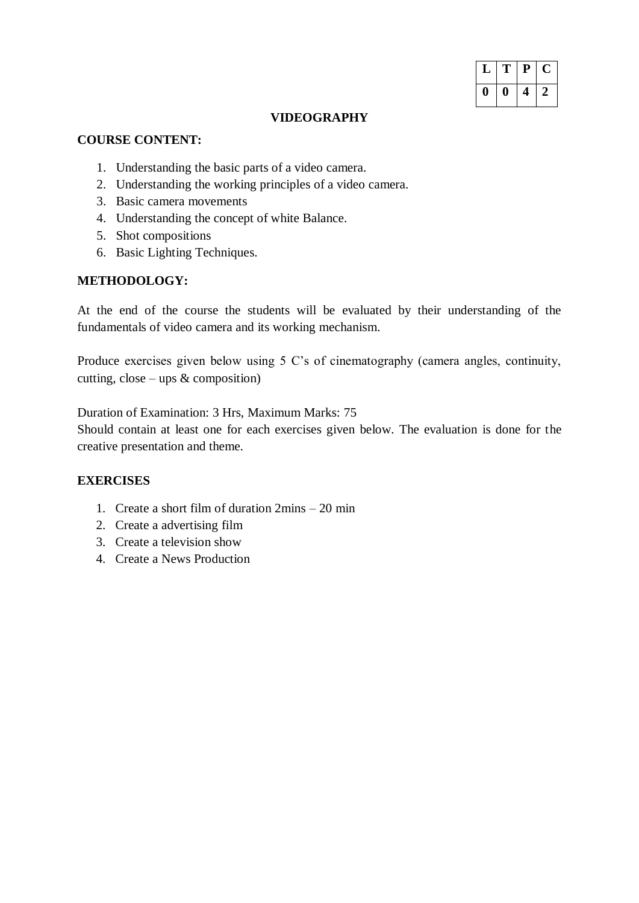| L | Г | P | U |
|---|---|---|---|
| 0 | o | 4 | 2 |

### **VIDEOGRAPHY**

### **COURSE CONTENT:**

- 1. Understanding the basic parts of a video camera.
- 2. Understanding the working principles of a video camera.
- 3. Basic camera movements
- 4. Understanding the concept of white Balance.
- 5. Shot compositions
- 6. Basic Lighting Techniques.

### **METHODOLOGY:**

At the end of the course the students will be evaluated by their understanding of the fundamentals of video camera and its working mechanism.

Produce exercises given below using 5 C's of cinematography (camera angles, continuity, cutting, close – ups  $&$  composition)

Duration of Examination: 3 Hrs, Maximum Marks: 75

Should contain at least one for each exercises given below. The evaluation is done for the creative presentation and theme.

#### **EXERCISES**

- 1. Create a short film of duration 2mins 20 min
- 2. Create a advertising film
- 3. Create a television show
- 4. Create a News Production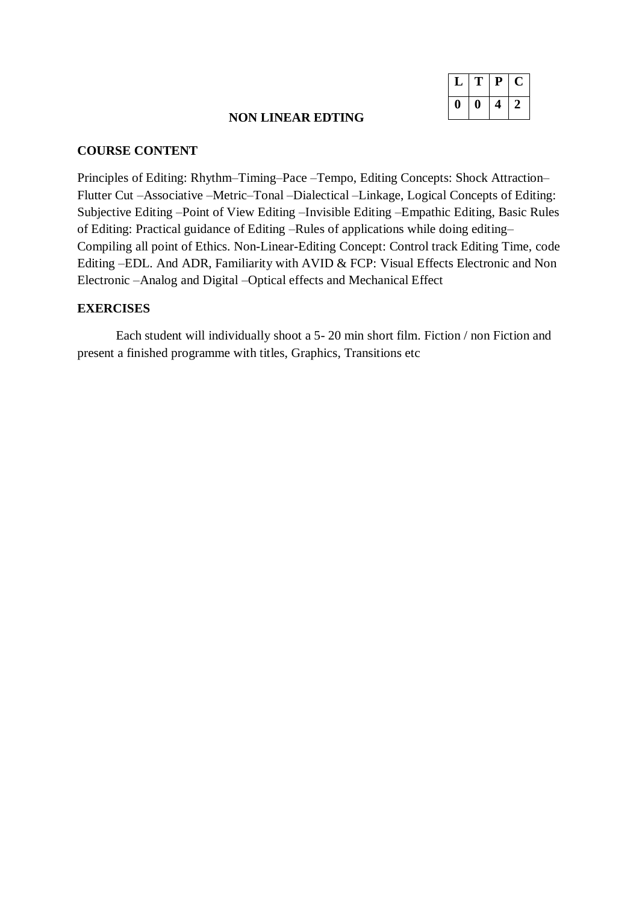| Ι. | <sup>T</sup> | $\mathbf{e}$ | Ċ. |
|----|--------------|--------------|----|
| o  | O            | 4            | 2  |

#### **NON LINEAR EDTING**

#### **COURSE CONTENT**

Principles of Editing: Rhythm–Timing–Pace –Tempo, Editing Concepts: Shock Attraction– Flutter Cut –Associative –Metric–Tonal –Dialectical –Linkage, Logical Concepts of Editing: Subjective Editing –Point of View Editing –Invisible Editing –Empathic Editing, Basic Rules of Editing: Practical guidance of Editing –Rules of applications while doing editing– Compiling all point of Ethics. Non-Linear-Editing Concept: Control track Editing Time, code Editing –EDL. And ADR, Familiarity with AVID & FCP: Visual Effects Electronic and Non Electronic –Analog and Digital –Optical effects and Mechanical Effect

#### **EXERCISES**

Each student will individually shoot a 5- 20 min short film. Fiction / non Fiction and present a finished programme with titles, Graphics, Transitions etc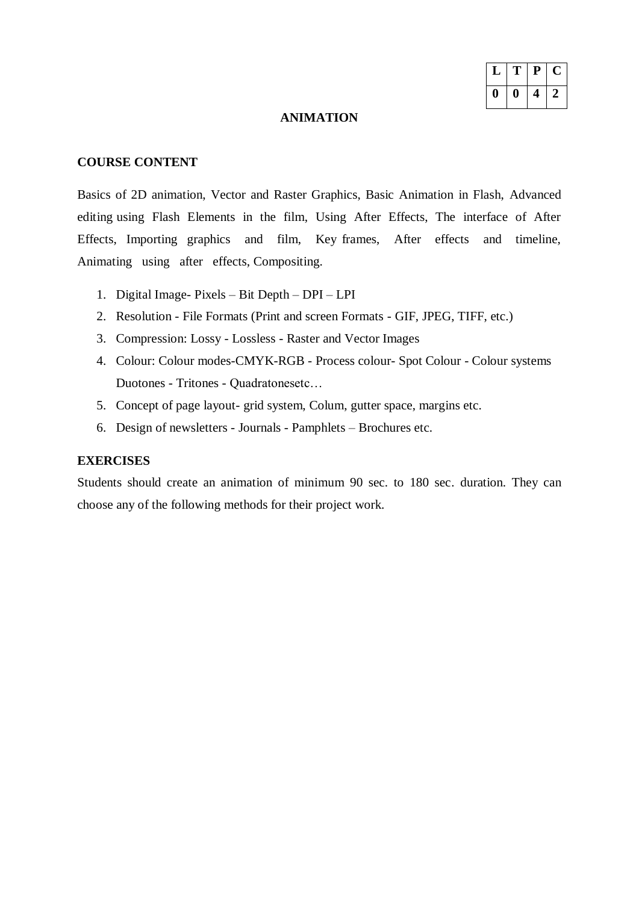|   | T | $\mathbf{P}$ | L |
|---|---|--------------|---|
| " | U | 4            |   |

#### **ANIMATION**

### **COURSE CONTENT**

Basics of 2D animation, Vector and Raster Graphics, Basic Animation in Flash, Advanced editing using Flash Elements in the film, Using After Effects, The interface of After Effects, Importing graphics and film, Key frames, After effects and timeline, Animating using after effects, Compositing.

- 1. Digital Image- Pixels Bit Depth DPI LPI
- 2. Resolution File Formats (Print and screen Formats GIF, JPEG, TIFF, etc.)
- 3. Compression: Lossy Lossless Raster and Vector Images
- 4. Colour: Colour modes-CMYK-RGB Process colour- Spot Colour Colour systems Duotones - Tritones - Quadratonesetc…
- 5. Concept of page layout- grid system, Colum, gutter space, margins etc.
- 6. Design of newsletters Journals Pamphlets Brochures etc.

#### **EXERCISES**

Students should create an animation of minimum 90 sec. to 180 sec. duration. They can choose any of the following methods for their project work.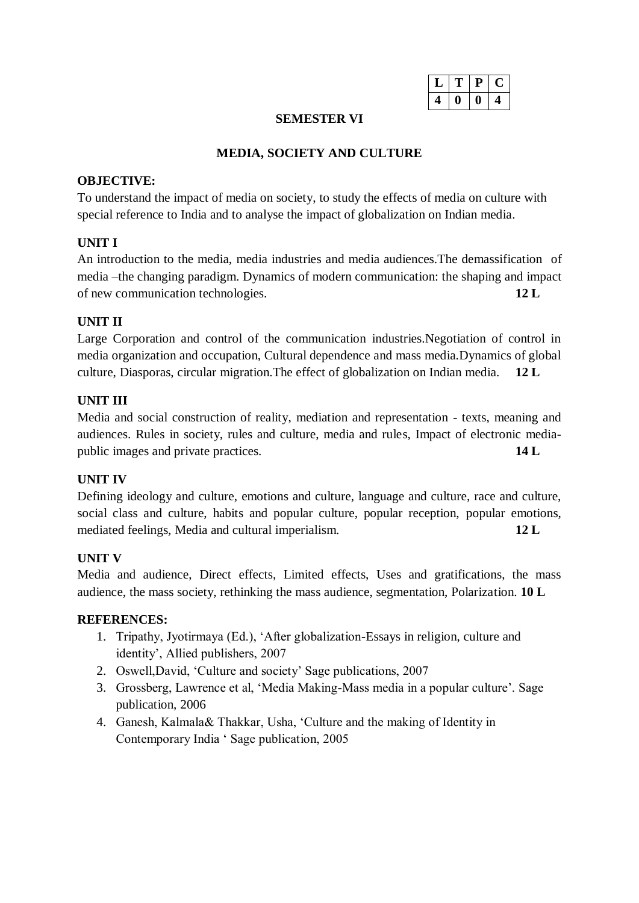|  | H |  |
|--|---|--|
|  | ı |  |

#### **SEMESTER VI**

#### **MEDIA, SOCIETY AND CULTURE**

#### **OBJECTIVE:**

To understand the impact of media on society, to study the effects of media on culture with special reference to India and to analyse the impact of globalization on Indian media.

### **UNIT I**

An introduction to the media, media industries and media audiences.The demassification of media –the changing paradigm. Dynamics of modern communication: the shaping and impact of new communication technologies. **12 L**

# **UNIT II**

Large Corporation and control of the communication industries.Negotiation of control in media organization and occupation, Cultural dependence and mass media.Dynamics of global culture, Diasporas, circular migration.The effect of globalization on Indian media. **12 L**

#### **UNIT III**

Media and social construction of reality, mediation and representation - texts, meaning and audiences. Rules in society, rules and culture, media and rules, Impact of electronic mediapublic images and private practices. **14 L**

#### **UNIT IV**

Defining ideology and culture, emotions and culture, language and culture, race and culture, social class and culture, habits and popular culture, popular reception, popular emotions, mediated feelings, Media and cultural imperialism. **12 L**

#### **UNIT V**

Media and audience, Direct effects, Limited effects, Uses and gratifications, the mass audience, the mass society, rethinking the mass audience, segmentation, Polarization. **10 L**

- 1. Tripathy, Jyotirmaya (Ed.), 'After globalization-Essays in religion, culture and identity', Allied publishers, 2007
- 2. Oswell,David, 'Culture and society' Sage publications, 2007
- 3. Grossberg, Lawrence et al, 'Media Making-Mass media in a popular culture'. Sage publication, 2006
- 4. Ganesh, Kalmala& Thakkar, Usha, 'Culture and the making of Identity in Contemporary India ' Sage publication, 2005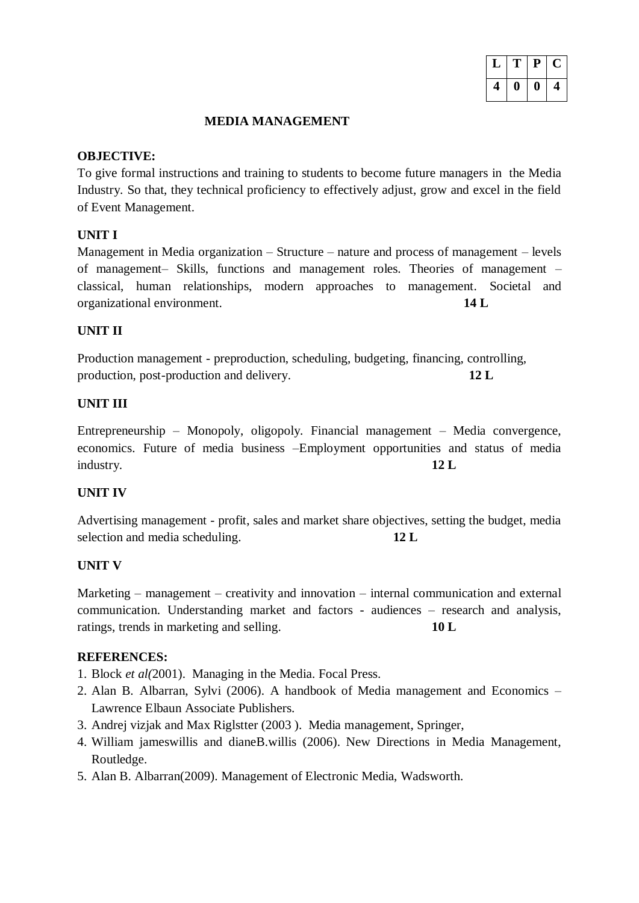| T | $\mathbf{P}$ | $\blacksquare$ |  |
|---|--------------|----------------|--|
| O | II           | 4              |  |

# **MEDIA MANAGEMENT**

# **OBJECTIVE:**

To give formal instructions and training to students to become future managers in the Media Industry. So that, they technical proficiency to effectively adjust, grow and excel in the field of Event Management.

# **UNIT I**

Management in Media organization – Structure – nature and process of management – levels of management– Skills, functions and management roles. Theories of management – classical, human relationships, modern approaches to management. Societal and organizational environment. **14 L**

# **UNIT II**

Production management - preproduction, scheduling, budgeting, financing, controlling, production, post-production and delivery. **12 L**

# **UNIT III**

Entrepreneurship – Monopoly, oligopoly. Financial management – Media convergence, economics. Future of media business –Employment opportunities and status of media industry. **12 L**

# **UNIT IV**

Advertising management - profit, sales and market share objectives, setting the budget, media selection and media scheduling. **12 L**

# **UNIT V**

Marketing – management – creativity and innovation – internal communication and external communication. Understanding market and factors - audiences – research and analysis, ratings, trends in marketing and selling. **10 L**

- 1. Block *et al(*2001). Managing in the Media. Focal Press.
- 2. Alan B. Albarran, Sylvi (2006). A handbook of Media management and Economics Lawrence Elbaun Associate Publishers.
- 3. Andrej vizjak and Max Riglstter (2003 ). Media management, Springer,
- 4. William jameswillis and dianeB.willis (2006). New Directions in Media Management, Routledge.
- 5. Alan B. Albarran(2009). Management of Electronic Media, Wadsworth.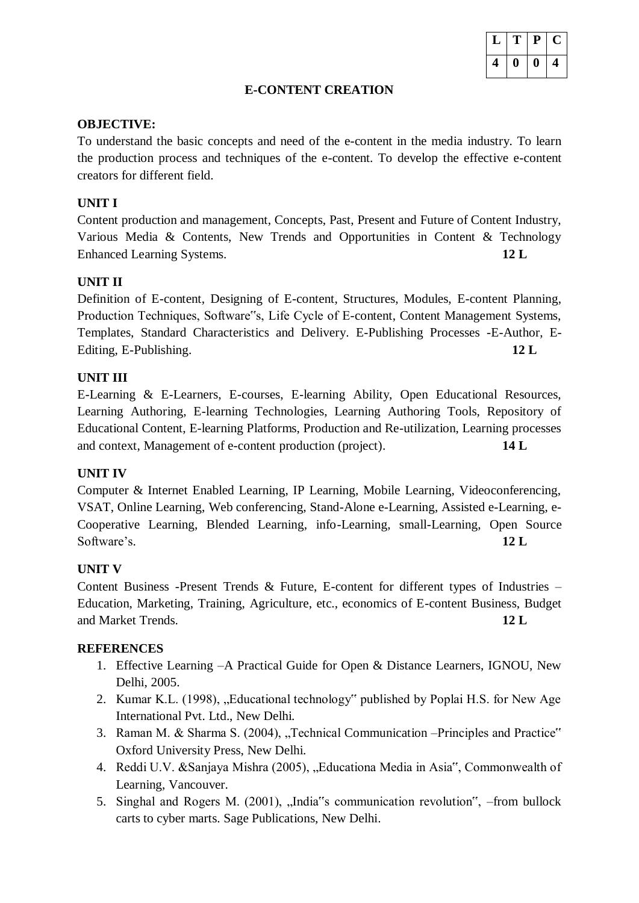|  | T | ₽  | ι. |
|--|---|----|----|
|  | I | I) |    |

# **E-CONTENT CREATION**

### **OBJECTIVE:**

To understand the basic concepts and need of the e-content in the media industry. To learn the production process and techniques of the e-content. To develop the effective e-content creators for different field.

# **UNIT I**

Content production and management, Concepts, Past, Present and Future of Content Industry, Various Media & Contents, New Trends and Opportunities in Content & Technology Enhanced Learning Systems. **12 L**

# **UNIT II**

Definition of E-content, Designing of E-content, Structures, Modules, E-content Planning, Production Techniques, Software"s, Life Cycle of E-content, Content Management Systems, Templates, Standard Characteristics and Delivery. E-Publishing Processes -E-Author, E-Editing, E-Publishing. **12 L**

# **UNIT III**

E-Learning & E-Learners, E-courses, E-learning Ability, Open Educational Resources, Learning Authoring, E-learning Technologies, Learning Authoring Tools, Repository of Educational Content, E-learning Platforms, Production and Re-utilization, Learning processes and context, Management of e-content production (project). **14 L**

# **UNIT IV**

Computer & Internet Enabled Learning, IP Learning, Mobile Learning, Videoconferencing, VSAT, Online Learning, Web conferencing, Stand-Alone e-Learning, Assisted e-Learning, e-Cooperative Learning, Blended Learning, info-Learning, small-Learning, Open Source Software's. **12 L** 

# **UNIT V**

Content Business -Present Trends & Future, E-content for different types of Industries – Education, Marketing, Training, Agriculture, etc., economics of E-content Business, Budget and Market Trends. **12 L**

# **REFERENCES**

- 1. Effective Learning –A Practical Guide for Open & Distance Learners, IGNOU, New Delhi, 2005.
- 2. Kumar K.L. (1998), "Educational technology" published by Poplai H.S. for New Age International Pvt. Ltd., New Delhi.
- 3. Raman M. & Sharma S. (2004), "Technical Communication –Principles and Practice" Oxford University Press, New Delhi.
- 4. Reddi U.V. &Sanjaya Mishra (2005), "Educationa Media in Asia", Commonwealth of Learning, Vancouver.
- 5. Singhal and Rogers M. (2001), "India"s communication revolution", –from bullock carts to cyber marts. Sage Publications, New Delhi.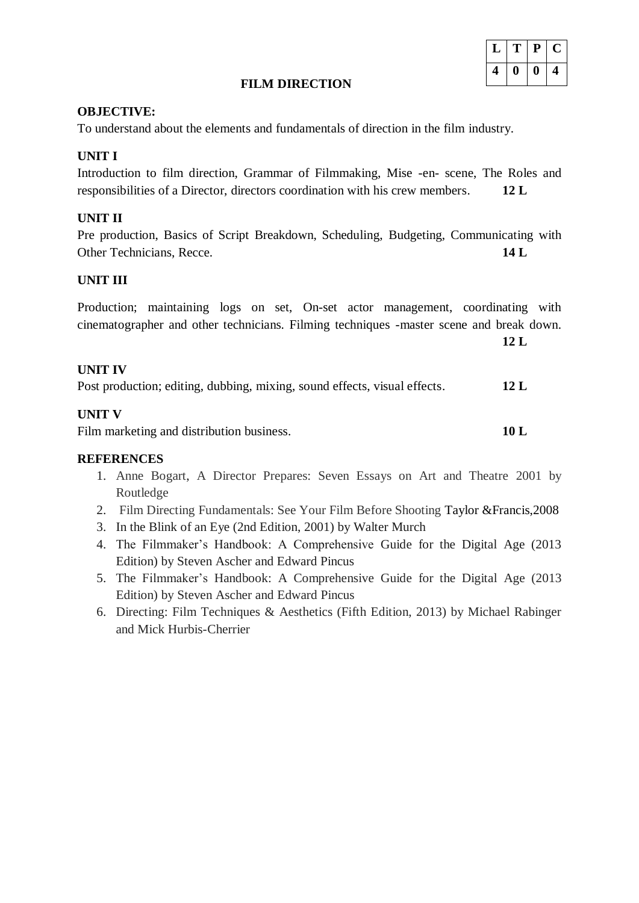#### **FILM DIRECTION**

#### **OBJECTIVE:**

To understand about the elements and fundamentals of direction in the film industry.

## **UNIT I**

Introduction to film direction, Grammar of Filmmaking, Mise -en- scene, The Roles and responsibilities of a Director, directors coordination with his crew members. **12 L**

#### **UNIT II**

Pre production, Basics of Script Breakdown, Scheduling, Budgeting, Communicating with Other Technicians, Recce. **14 L**

#### **UNIT III**

|  |  |  | Production; maintaining logs on set, On-set actor management, coordinating with         |  |
|--|--|--|-----------------------------------------------------------------------------------------|--|
|  |  |  | cinematographer and other technicians. Filming techniques -master scene and break down. |  |

**12 L**

#### **UNIT IV**

| Post production; editing, dubbing, mixing, sound effects, visual effects. |  | 12L |
|---------------------------------------------------------------------------|--|-----|
|                                                                           |  |     |

#### **UNIT V**

Film marketing and distribution business. **10 L** 

#### **REFERENCES**

- 1. [Anne Bogart,](https://www.goodreads.com/author/show/123483.Anne_Bogart) A Director Prepares: Seven Essays on Art and Theatre 2001 by Routledge
- 2. Film Directing Fundamentals: See Your Film Before Shooting Taylor &Francis,2008
- 3. In the Blink of an Eye (2nd Edition, 2001) by Walter Murch
- 4. The Filmmaker's Handbook: A Comprehensive Guide for the Digital Age (2013 Edition) by Steven Ascher and Edward Pincus
- 5. The Filmmaker's Handbook: A Comprehensive Guide for the Digital Age (2013 Edition) by Steven Ascher and Edward Pincus
- 6. Directing: Film Techniques & Aesthetics (Fifth Edition, 2013) by Michael Rabinger and Mick Hurbis-Cherrier

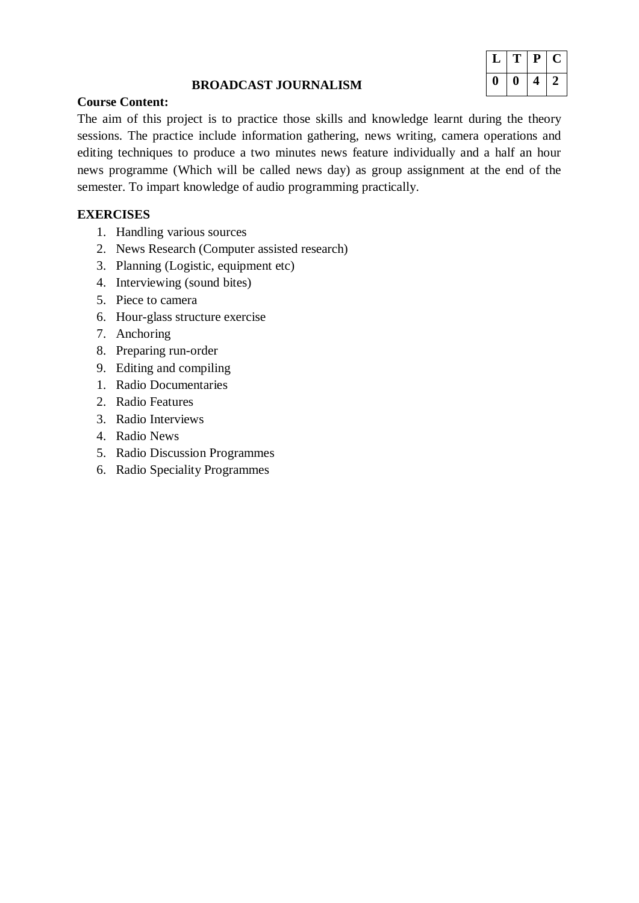|   | ш | $\mathbf{P}$ | L |
|---|---|--------------|---|
| n | 0 | ч            |   |

# **BROADCAST JOURNALISM**

# **Course Content:**

The aim of this project is to practice those skills and knowledge learnt during the theory sessions. The practice include information gathering, news writing, camera operations and editing techniques to produce a two minutes news feature individually and a half an hour news programme (Which will be called news day) as group assignment at the end of the semester. To impart knowledge of audio programming practically.

# **EXERCISES**

- 1. Handling various sources
- 2. News Research (Computer assisted research)
- 3. Planning (Logistic, equipment etc)
- 4. Interviewing (sound bites)
- 5. Piece to camera
- 6. Hour-glass structure exercise
- 7. Anchoring
- 8. Preparing run-order
- 9. Editing and compiling
- 1. Radio Documentaries
- 2. Radio Features
- 3. Radio Interviews
- 4. Radio News
- 5. Radio Discussion Programmes
- 6. Radio Speciality Programmes